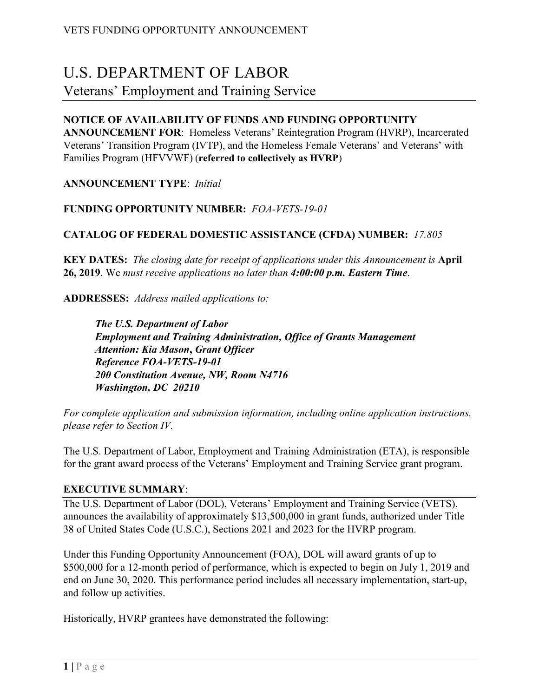# U.S. DEPARTMENT OF LABOR

# Veterans' Employment and Training Service

# **NOTICE OF AVAILABILITY OF FUNDS AND FUNDING OPPORTUNITY**

**ANNOUNCEMENT FOR**: Homeless Veterans' Reintegration Program (HVRP), Incarcerated Veterans' Transition Program (IVTP), and the Homeless Female Veterans' and Veterans' with Families Program (HFVVWF) (**referred to collectively as HVRP**)

**ANNOUNCEMENT TYPE**: *Initial*

**FUNDING OPPORTUNITY NUMBER:** *FOA-VETS-19-01*

# **CATALOG OF FEDERAL DOMESTIC ASSISTANCE (CFDA) NUMBER:** *17.805*

**KEY DATES:** *The closing date for receipt of applications under this Announcement is* **April 26, 2019**. We *must receive applications no later than 4:00:00 p.m. Eastern Time*.

**ADDRESSES:** *Address mailed applications to:*

*The U.S. Department of Labor Employment and Training Administration, Office of Grants Management Attention: Kia Mason***,** *Grant Officer Reference FOA-VETS-19***-***01 200 Constitution Avenue, NW, Room N4716 Washington, DC 20210*

*For complete application and submission information, including online application instructions, please refer to Section IV.*

The U.S. Department of Labor, Employment and Training Administration (ETA), is responsible for the grant award process of the Veterans' Employment and Training Service grant program.

# **EXECUTIVE SUMMARY**:

The U.S. Department of Labor (DOL), Veterans' Employment and Training Service (VETS), announces the availability of approximately \$13,500,000 in grant funds, authorized under Title 38 of United States Code (U.S.C.), Sections 2021 and 2023 for the HVRP program.

Under this Funding Opportunity Announcement (FOA), DOL will award grants of up to \$500,000 for a 12-month period of performance, which is expected to begin on July 1, 2019 and end on June 30, 2020. This performance period includes all necessary implementation, start-up, and follow up activities.

Historically, HVRP grantees have demonstrated the following: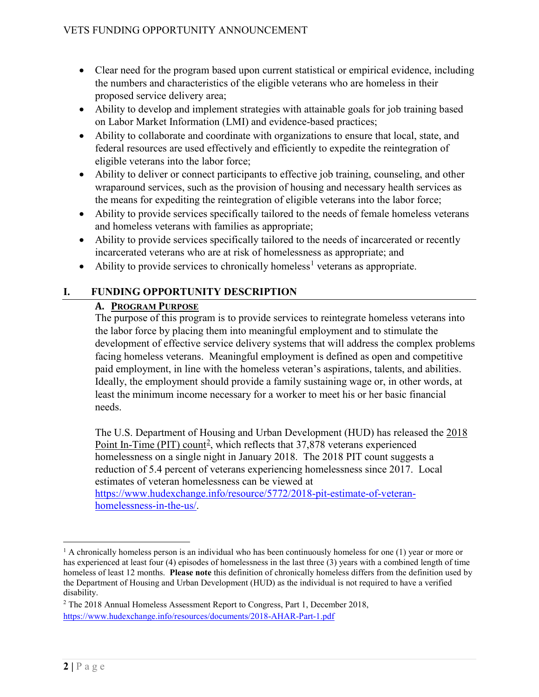- Clear need for the program based upon current statistical or empirical evidence, including the numbers and characteristics of the eligible veterans who are homeless in their proposed service delivery area;
- Ability to develop and implement strategies with attainable goals for job training based on Labor Market Information (LMI) and evidence-based practices;
- Ability to collaborate and coordinate with organizations to ensure that local, state, and federal resources are used effectively and efficiently to expedite the reintegration of eligible veterans into the labor force;
- Ability to deliver or connect participants to effective job training, counseling, and other wraparound services, such as the provision of housing and necessary health services as the means for expediting the reintegration of eligible veterans into the labor force;
- Ability to provide services specifically tailored to the needs of female homeless veterans and homeless veterans with families as appropriate;
- Ability to provide services specifically tailored to the needs of incarcerated or recently incarcerated veterans who are at risk of homelessness as appropriate; and
- Ability to provide services to chronically homeless<sup>[1](#page-1-0)</sup> veterans as appropriate.

# **I. FUNDING OPPORTUNITY DESCRIPTION**

# **A. PROGRAM PURPOSE**

The purpose of this program is to provide services to reintegrate homeless veterans into the labor force by placing them into meaningful employment and to stimulate the development of effective service delivery systems that will address the complex problems facing homeless veterans. Meaningful employment is defined as open and competitive paid employment, in line with the homeless veteran's aspirations, talents, and abilities. Ideally, the employment should provide a family sustaining wage or, in other words, at least the minimum income necessary for a worker to meet his or her basic financial needs.

The U.S. Department of Housing and Urban Development (HUD) has released the [2018](https://www.hud.gov/press/press_releases_media_advisories/HUD_No_18_132)  [Point In-Time \(PIT\)](https://www.hud.gov/press/press_releases_media_advisories/HUD_No_18_132) count<sup>[2](#page-1-1)</sup>, which reflects that  $37,878$  veterans experienced homelessness on a single night in January 2018. The 2018 PIT count suggests a reduction of 5.4 percent of veterans experiencing homelessness since 2017. Local estimates of veteran homelessness can be viewed at

[https://www.hudexchange.info/resource/5772/2018-pit-estimate-of-veteran](https://www.hudexchange.info/resource/5772/2018-pit-estimate-of-veteran-homelessness-in-the-us/)[homelessness-in-the-us/.](https://www.hudexchange.info/resource/5772/2018-pit-estimate-of-veteran-homelessness-in-the-us/)

<span id="page-1-0"></span> $<sup>1</sup>$  A chronically homeless person is an individual who has been continuously homeless for one (1) year or more or</sup> has experienced at least four (4) episodes of homelessness in the last three (3) years with a combined length of time homeless of least 12 months. **Please note** this definition of chronically homeless differs from the definition used by the Department of Housing and Urban Development (HUD) as the individual is not required to have a verified disability.

<span id="page-1-1"></span><sup>&</sup>lt;sup>2</sup> The 2018 Annual Homeless Assessment Report to Congress, Part 1, December 2018, <https://www.hudexchange.info/resources/documents/2018-AHAR-Part-1.pdf>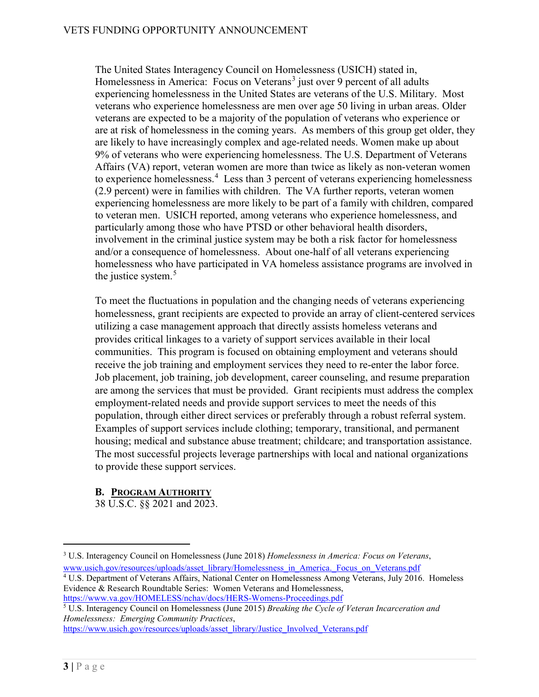The United States Interagency Council on Homelessness (USICH) stated in, Homelessness in America: Focus on Veterans<sup>[3](#page-2-0)</sup> just over 9 percent of all adults experiencing homelessness in the United States are veterans of the U.S. Military. Most veterans who experience homelessness are men over age 50 living in urban areas. Older veterans are expected to be a majority of the population of veterans who experience or are at risk of homelessness in the coming years. As members of this group get older, they are likely to have increasingly complex and age-related needs. Women make up about 9% of veterans who were experiencing homelessness. The U.S. Department of Veterans Affairs (VA) report, veteran women are more than twice as likely as non-veteran women to experience homelessness.<sup>[4](#page-2-1)</sup> Less than 3 percent of veterans experiencing homelessness (2.9 percent) were in families with children. The VA further reports, veteran women experiencing homelessness are more likely to be part of a family with children, compared to veteran men. USICH reported, among veterans who experience homelessness, and particularly among those who have PTSD or other behavioral health disorders, involvement in the criminal justice system may be both a risk factor for homelessness and/or a consequence of homelessness. About one-half of all veterans experiencing homelessness who have participated in VA homeless assistance programs are involved in the justice system.<sup>[5](#page-2-2)</sup>

To meet the fluctuations in population and the changing needs of veterans experiencing homelessness, grant recipients are expected to provide an array of client-centered services utilizing a case management approach that directly assists homeless veterans and provides critical linkages to a variety of support services available in their local communities. This program is focused on obtaining employment and veterans should receive the job training and employment services they need to re-enter the labor force. Job placement, job training, job development, career counseling, and resume preparation are among the services that must be provided. Grant recipients must address the complex employment-related needs and provide support services to meet the needs of this population, through either direct services or preferably through a robust referral system. Examples of support services include clothing; temporary, transitional, and permanent housing; medical and substance abuse treatment; childcare; and transportation assistance. The most successful projects leverage partnerships with local and national organizations to provide these support services.

# **B. PROGRAM AUTHORITY**

38 U.S.C. §§ 2021 and 2023.

<span id="page-2-1"></span>www.usich.gov/resources/uploads/asset\_library/Homelessness\_in\_America.\_Focus\_on\_Veterans.pdf <sup>4</sup> U.S. Department of Veterans Affairs, National Center on Homelessness Among Veterans, July 2016. Homeless Evidence & Research Roundtable Series: Women Veterans and Homelessness, <https://www.va.gov/HOMELESS/nchav/docs/HERS-Womens-Proceedings.pdf>

<span id="page-2-2"></span><sup>5</sup> U.S. Interagency Council on Homelessness (June 2015) *Breaking the Cycle of Veteran Incarceration and Homelessness: Emerging Community Practices*,

[https://www.usich.gov/resources/uploads/asset\\_library/Justice\\_Involved\\_Veterans.pdf](https://www.usich.gov/resources/uploads/asset_library/Justice_Involved_Veterans.pdf)

<span id="page-2-0"></span> <sup>3</sup> U.S. Interagency Council on Homelessness (June 2018) *[Homelessness in America: Focus on](https://www.usich.gov/resources/uploads/asset_library/Homelessness_in_America._Focus_on_Veterans.pdf) Veterans*,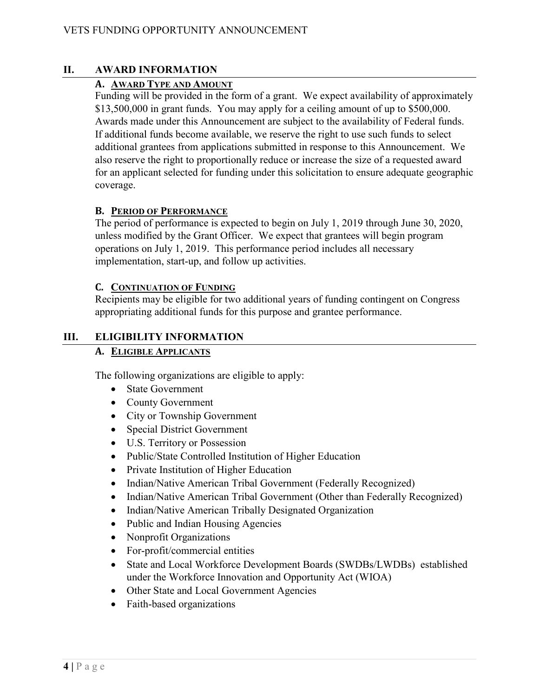# **II. AWARD INFORMATION**

# **A. AWARD TYPE AND AMOUNT**

Funding will be provided in the form of a grant. We expect availability of approximately \$13,500,000 in grant funds. You may apply for a ceiling amount of up to \$500,000. Awards made under this Announcement are subject to the availability of Federal funds. If additional funds become available, we reserve the right to use such funds to select additional grantees from applications submitted in response to this Announcement. We also reserve the right to proportionally reduce or increase the size of a requested award for an applicant selected for funding under this solicitation to ensure adequate geographic coverage.

# **B. PERIOD OF PERFORMANCE**

The period of performance is expected to begin on July 1, 2019 through June 30, 2020, unless modified by the Grant Officer. We expect that grantees will begin program operations on July 1, 2019. This performance period includes all necessary implementation, start-up, and follow up activities.

#### **C. CONTINUATION OF FUNDING**

Recipients may be eligible for two additional years of funding contingent on Congress appropriating additional funds for this purpose and grantee performance.

# **III. ELIGIBILITY INFORMATION**

# **A. ELIGIBLE APPLICANTS**

The following organizations are eligible to apply:

- State Government
- County Government
- City or Township Government
- Special District Government
- U.S. Territory or Possession
- Public/State Controlled Institution of Higher Education
- Private Institution of Higher Education
- Indian/Native American Tribal Government (Federally Recognized)
- Indian/Native American Tribal Government (Other than Federally Recognized)
- Indian/Native American Tribally Designated Organization
- Public and Indian Housing Agencies
- Nonprofit Organizations
- For-profit/commercial entities
- State and Local Workforce Development Boards (SWDBs/LWDBs) established under the Workforce Innovation and Opportunity Act (WIOA)
- Other State and Local Government Agencies
- Faith-based organizations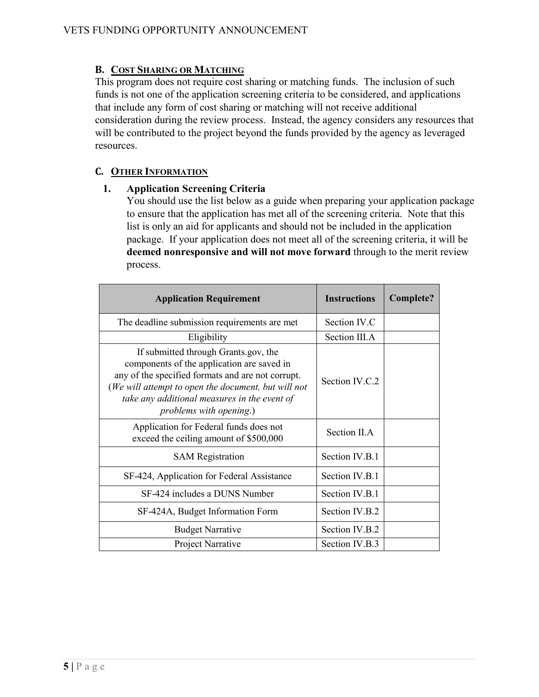# **B. COST SHARING OR MATCHING**

This program does not require cost sharing or matching funds. The inclusion of such funds is not one of the application screening criteria to be considered, and applications that include any form of cost sharing or matching will not receive additional consideration during the review process. Instead, the agency considers any resources that will be contributed to the project beyond the funds provided by the agency as leveraged resources.

# **C. OTHER INFORMATION**

# **1. Application Screening Criteria**

You should use the list below as a guide when preparing your application package to ensure that the application has met all of the screening criteria. Note that this list is only an aid for applicants and should not be included in the application package. If your application does not meet all of the screening criteria, it will be **deemed nonresponsive and will not move forward** through to the merit review process.

| <b>Application Requirement</b>                                                                                                                                                                                                                                                   | <b>Instructions</b> | Complete? |
|----------------------------------------------------------------------------------------------------------------------------------------------------------------------------------------------------------------------------------------------------------------------------------|---------------------|-----------|
| The deadline submission requirements are met                                                                                                                                                                                                                                     | Section IV.C        |           |
| Eligibility                                                                                                                                                                                                                                                                      | Section III.A       |           |
| If submitted through Grants gov, the<br>components of the application are saved in<br>any of the specified formats and are not corrupt.<br>(We will attempt to open the document, but will not<br>take any additional measures in the event of<br><i>problems with opening.)</i> | Section IV.C.2      |           |
| Application for Federal funds does not<br>exceed the ceiling amount of \$500,000                                                                                                                                                                                                 | Section II.A        |           |
| <b>SAM</b> Registration                                                                                                                                                                                                                                                          | Section IV.B.1      |           |
| SF-424, Application for Federal Assistance                                                                                                                                                                                                                                       | Section IV.B.1      |           |
| SF-424 includes a DUNS Number                                                                                                                                                                                                                                                    | Section IV.B.1      |           |
| SF-424A, Budget Information Form                                                                                                                                                                                                                                                 | Section IV.B.2      |           |
| <b>Budget Narrative</b>                                                                                                                                                                                                                                                          | Section IV.B.2      |           |
| Project Narrative                                                                                                                                                                                                                                                                | Section IV.B.3      |           |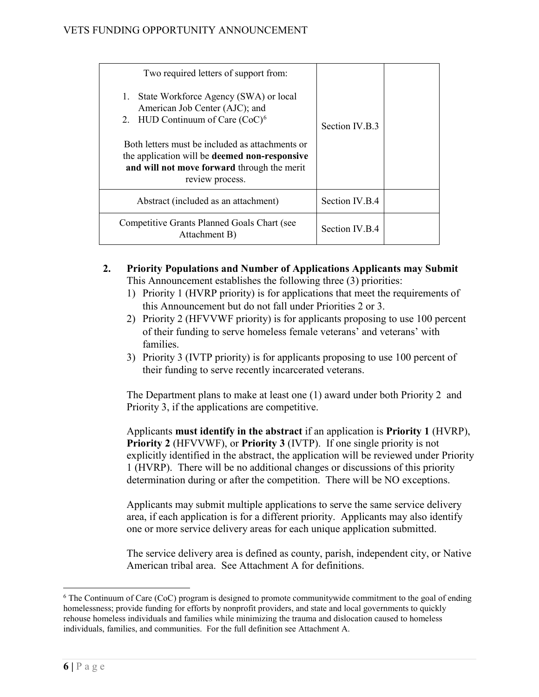| Two required letters of support from:                                                                                                                                     |                |  |
|---------------------------------------------------------------------------------------------------------------------------------------------------------------------------|----------------|--|
| 1. State Workforce Agency (SWA) or local<br>American Job Center (AJC); and<br>2. HUD Continuum of Care $(CoC)^6$                                                          | Section IV.B.3 |  |
| Both letters must be included as attachments or<br>the application will be <b>deemed non-responsive</b><br>and will not move forward through the merit<br>review process. |                |  |
| Abstract (included as an attachment)                                                                                                                                      | Section IV.B.4 |  |
| Competitive Grants Planned Goals Chart (see<br>Attachment B)                                                                                                              | Section IV.B.4 |  |

# **2. Priority Populations and Number of Applications Applicants may Submit**  This Announcement establishes the following three (3) priorities:

- 1) Priority 1 (HVRP priority) is for applications that meet the requirements of this Announcement but do not fall under Priorities 2 or 3.
- 2) Priority 2 (HFVVWF priority) is for applicants proposing to use 100 percent of their funding to serve homeless female veterans' and veterans' with families.
- 3) Priority 3 (IVTP priority) is for applicants proposing to use 100 percent of their funding to serve recently incarcerated veterans.

The Department plans to make at least one (1) award under both Priority 2 and Priority 3, if the applications are competitive.

Applicants **must identify in the abstract** if an application is **Priority 1** (HVRP), **Priority 2** (HFVVWF), or **Priority 3** (IVTP). If one single priority is not explicitly identified in the abstract, the application will be reviewed under Priority 1 (HVRP). There will be no additional changes or discussions of this priority determination during or after the competition. There will be NO exceptions.

Applicants may submit multiple applications to serve the same service delivery area, if each application is for a different priority. Applicants may also identify one or more service delivery areas for each unique application submitted.

The service delivery area is defined as county, parish, independent city, or Native American tribal area. See Attachment A for definitions.

<span id="page-5-0"></span><sup>&</sup>lt;sup>6</sup> The Continuum of Care (CoC) program is designed to promote communitywide commitment to the goal of ending homelessness; provide funding for efforts by nonprofit providers, and state and local governments to quickly rehouse homeless individuals and families while minimizing the trauma and dislocation caused to homeless individuals, families, and communities. For the full definition see Attachment A.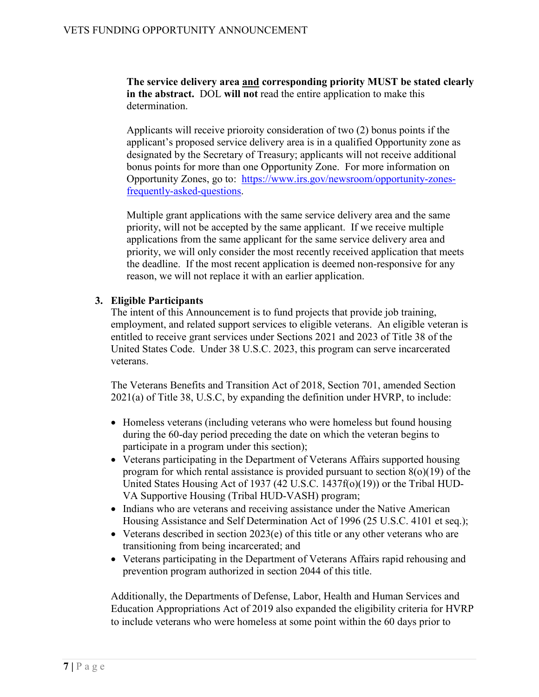**The service delivery area and corresponding priority MUST be stated clearly in the abstract.** DOL **will not** read the entire application to make this determination.

Applicants will receive prioroity consideration of two (2) bonus points if the applicant's proposed service delivery area is in a qualified Opportunity zone as designated by the Secretary of Treasury; applicants will not receive additional bonus points for more than one Opportunity Zone. For more information on Opportunity Zones, go to: [https://www.irs.gov/newsroom/opportunity-zones](https://www.irs.gov/newsroom/opportunity-zones-frequently-asked-questions)[frequently-asked-questions.](https://www.irs.gov/newsroom/opportunity-zones-frequently-asked-questions)

Multiple grant applications with the same service delivery area and the same priority, will not be accepted by the same applicant. If we receive multiple applications from the same applicant for the same service delivery area and priority, we will only consider the most recently received application that meets the deadline. If the most recent application is deemed non-responsive for any reason, we will not replace it with an earlier application.

#### **3. Eligible Participants**

The intent of this Announcement is to fund projects that provide job training, employment, and related support services to eligible veterans. An eligible veteran is entitled to receive grant services under Sections 2021 and 2023 of Title 38 of the United States Code. Under 38 U.S.C. 2023, this program can serve incarcerated veterans.

The Veterans Benefits and Transition Act of 2018, Section 701, amended Section 2021(a) of Title 38, U.S.C, by expanding the definition under HVRP, to include:

- Homeless veterans (including veterans who were homeless but found housing during the 60-day period preceding the date on which the veteran begins to participate in a program under this section);
- Veterans participating in the Department of Veterans Affairs supported housing program for which rental assistance is provided pursuant to section  $8(0)(19)$  of the United States Housing Act of 1937 (42 U.S.C. 1437f(o)(19)) or the Tribal HUD-VA Supportive Housing (Tribal HUD-VASH) program;
- Indians who are veterans and receiving assistance under the Native American Housing Assistance and Self Determination Act of 1996 (25 U.S.C. 4101 et seq.);
- Veterans described in section 2023(e) of this title or any other veterans who are transitioning from being incarcerated; and
- Veterans participating in the Department of Veterans Affairs rapid rehousing and prevention program authorized in section 2044 of this title.

Additionally, the Departments of Defense, Labor, Health and Human Services and Education Appropriations Act of 2019 also expanded the eligibility criteria for HVRP to include veterans who were homeless at some point within the 60 days prior to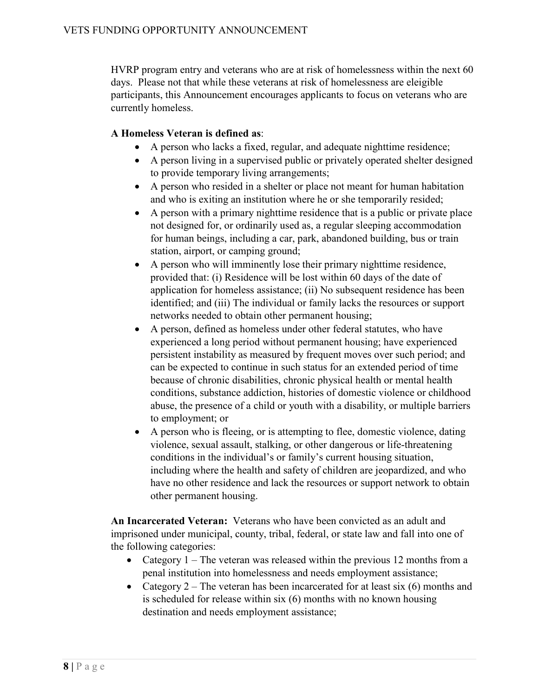HVRP program entry and veterans who are at risk of homelessness within the next 60 days. Please not that while these veterans at risk of homelessness are eleigible participants, this Announcement encourages applicants to focus on veterans who are currently homeless.

# **A Homeless Veteran is defined as**:

- A person who lacks a fixed, regular, and adequate nighttime residence;
- A person living in a supervised public or privately operated shelter designed to provide temporary living arrangements;
- A person who resided in a shelter or place not meant for human habitation and who is exiting an institution where he or she temporarily resided;
- A person with a primary nighttime residence that is a public or private place not designed for, or ordinarily used as, a regular sleeping accommodation for human beings, including a car, park, abandoned building, bus or train station, airport, or camping ground;
- A person who will imminently lose their primary nighttime residence, provided that: (i) Residence will be lost within 60 days of the date of application for homeless assistance; (ii) No subsequent residence has been identified; and (iii) The individual or family lacks the resources or support networks needed to obtain other permanent housing;
- A person, defined as homeless under other federal statutes, who have experienced a long period without permanent housing; have experienced persistent instability as measured by frequent moves over such period; and can be expected to continue in such status for an extended period of time because of chronic disabilities, chronic physical health or mental health conditions, substance addiction, histories of domestic violence or childhood abuse, the presence of a child or youth with a disability, or multiple barriers to employment; or
- A person who is fleeing, or is attempting to flee, domestic violence, dating violence, sexual assault, stalking, or other dangerous or life-threatening conditions in the individual's or family's current housing situation, including where the health and safety of children are jeopardized, and who have no other residence and lack the resources or support network to obtain other permanent housing.

**An Incarcerated Veteran:** Veterans who have been convicted as an adult and imprisoned under municipal, county, tribal, federal, or state law and fall into one of the following categories:

- Category  $1$  The veteran was released within the previous 12 months from a penal institution into homelessness and needs employment assistance;
- Category 2 The veteran has been incarcerated for at least six  $(6)$  months and is scheduled for release within six (6) months with no known housing destination and needs employment assistance;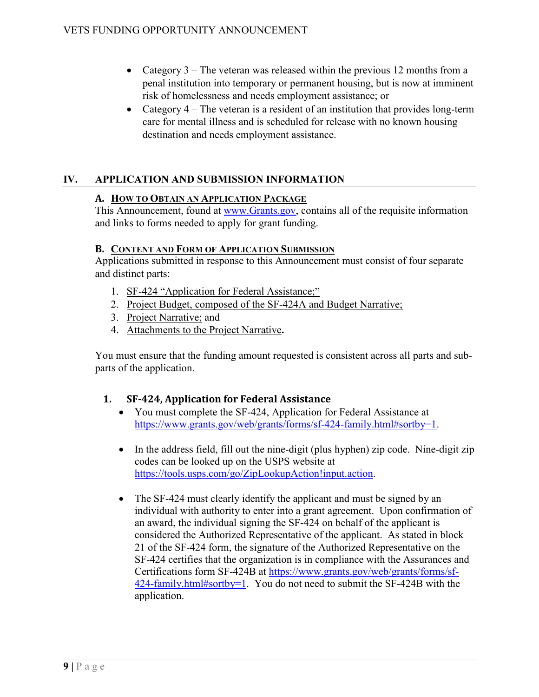- Category 3 The veteran was released within the previous 12 months from a penal institution into temporary or permanent housing, but is now at imminent risk of homelessness and needs employment assistance; or
- Category 4 The veteran is a resident of an institution that provides long-term care for mental illness and is scheduled for release with no known housing destination and needs employment assistance.

# **IV. APPLICATION AND SUBMISSION INFORMATION**

#### **A. HOW TO OBTAIN AN APPLICATION PACKAGE**

This Announcement, found at [www.Grants.gov,](http://www.grants.gov/) contains all of the requisite information and links to forms needed to apply for grant funding.

#### **B. CONTENT AND FORM OF APPLICATION SUBMISSION**

Applications submitted in response to this Announcement must consist of four separate and distinct parts:

- 1. [SF-424 "Application for Federal Assistance;"](#page-9-0)
- 2. [Project Budget, composed of the SF-424A and Budget Narrative;](#page-9-0)
- 3. Project Narrative; and
- 4. Attachments to the Project Narrative**.**

You must ensure that the funding amount requested is consistent across all parts and subparts of the application.

# **1. SF-424, Application for Federal Assistance**

- You must complete the SF-424, Application for Federal Assistance at [https://www.grants.gov/web/grants/forms/sf-424-family.html#sortby=1.](https://www.grants.gov/web/grants/forms/sf-424-family.html#sortby=1)
- In the address field, fill out the nine-digit (plus hyphen) zip code. Nine-digit zip codes can be looked up on the USPS website at [https://tools.usps.com/go/ZipLookupAction!input.action.](https://tools.usps.com/go/ZipLookupAction!input.action)
- The SF-424 must clearly identify the applicant and must be signed by an individual with authority to enter into a grant agreement. Upon confirmation of an award, the individual signing the SF-424 on behalf of the applicant is considered the Authorized Representative of the applicant. As stated in block 21 of the SF-424 form, the signature of the Authorized Representative on the SF-424 certifies that the organization is in compliance with the Assurances and Certifications form SF-424B at [https://www.grants.gov/web/grants/forms/sf-](https://www.grants.gov/web/grants/forms/sf-424-family.html#sortby=1)[424-family.html#sortby=1.](https://www.grants.gov/web/grants/forms/sf-424-family.html#sortby=1) You do not need to submit the SF-424B with the application.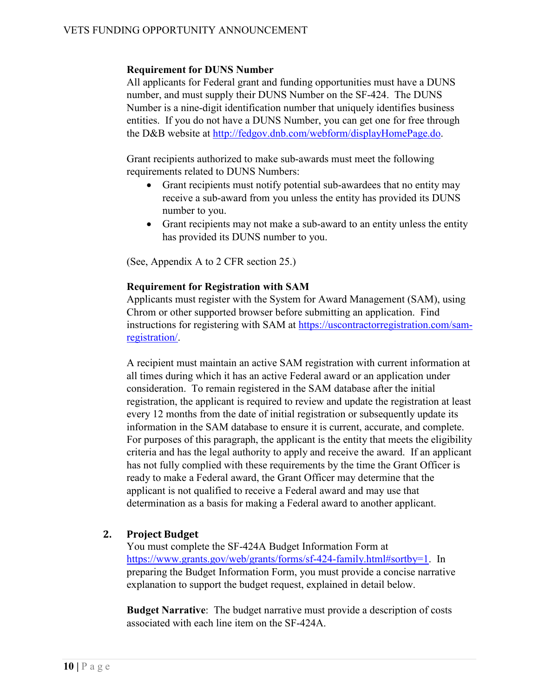#### **Requirement for DUNS Number**

All applicants for Federal grant and funding opportunities must have a DUNS number, and must supply their DUNS Number on the SF-424. The DUNS Number is a nine-digit identification number that uniquely identifies business entities. If you do not have a DUNS Number, you can get one for free through the D&B website at [http://fedgov.dnb.com/webform/displayHomePage.do.](http://fedgov.dnb.com/webform/displayHomePage.do)

Grant recipients authorized to make sub-awards must meet the following requirements related to DUNS Numbers:

- Grant recipients must notify potential sub-awardees that no entity may receive a sub-award from you unless the entity has provided its DUNS number to you.
- Grant recipients may not make a sub-award to an entity unless the entity has provided its DUNS number to you.

(See, Appendix A to 2 CFR section 25.)

#### **Requirement for Registration with SAM**

Applicants must register with the System for Award Management (SAM), using Chrom or other supported browser before submitting an application. Find instructions for registering with SAM at [https://uscontractorregistration.com/sam](https://uscontractorregistration.com/sam-registration/)[registration/.](https://uscontractorregistration.com/sam-registration/)

A recipient must maintain an active SAM registration with current information at all times during which it has an active Federal award or an application under consideration. To remain registered in the SAM database after the initial registration, the applicant is required to review and update the registration at least every 12 months from the date of initial registration or subsequently update its information in the SAM database to ensure it is current, accurate, and complete. For purposes of this paragraph, the applicant is the entity that meets the eligibility criteria and has the legal authority to apply and receive the award. If an applicant has not fully complied with these requirements by the time the Grant Officer is ready to make a Federal award, the Grant Officer may determine that the applicant is not qualified to receive a Federal award and may use that determination as a basis for making a Federal award to another applicant.

#### <span id="page-9-0"></span>**2. Project Budget**

You must complete the SF-424A Budget Information Form at [https://www.grants.gov/web/grants/forms/sf-424-family.html#sortby=1.](https://www.grants.gov/web/grants/forms/sf-424-family.html#sortby=1) In preparing the Budget Information Form, you must provide a concise narrative explanation to support the budget request, explained in detail below.

**Budget Narrative**: The budget narrative must provide a description of costs associated with each line item on the SF-424A.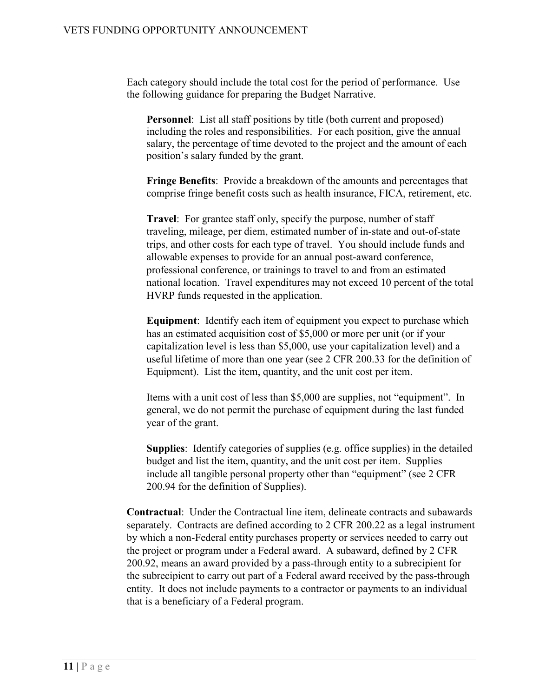Each category should include the total cost for the period of performance. Use the following guidance for preparing the Budget Narrative.

**Personnel**: List all staff positions by title (both current and proposed) including the roles and responsibilities. For each position, give the annual salary, the percentage of time devoted to the project and the amount of each position's salary funded by the grant.

**Fringe Benefits**: Provide a breakdown of the amounts and percentages that comprise fringe benefit costs such as health insurance, FICA, retirement, etc.

**Travel**: For grantee staff only, specify the purpose, number of staff traveling, mileage, per diem, estimated number of in-state and out-of-state trips, and other costs for each type of travel. You should include funds and allowable expenses to provide for an annual post-award conference, professional conference, or trainings to travel to and from an estimated national location. Travel expenditures may not exceed 10 percent of the total HVRP funds requested in the application.

**Equipment**: Identify each item of equipment you expect to purchase which has an estimated acquisition cost of \$5,000 or more per unit (or if your capitalization level is less than \$5,000, use your capitalization level) and a useful lifetime of more than one year (see 2 CFR 200.33 for the definition of Equipment). List the item, quantity, and the unit cost per item.

Items with a unit cost of less than \$5,000 are supplies, not "equipment". In general, we do not permit the purchase of equipment during the last funded year of the grant.

**Supplies**: Identify categories of supplies (e.g. office supplies) in the detailed budget and list the item, quantity, and the unit cost per item. Supplies include all tangible personal property other than "equipment" (see 2 CFR 200.94 for the definition of Supplies).

**Contractual**: Under the Contractual line item, delineate contracts and subawards separately. Contracts are defined according to 2 CFR 200.22 as a legal instrument by which a non-Federal entity purchases property or services needed to carry out the project or program under a Federal award. A subaward, defined by 2 CFR 200.92, means an award provided by a pass-through entity to a subrecipient for the subrecipient to carry out part of a Federal award received by the pass-through entity. It does not include payments to a contractor or payments to an individual that is a beneficiary of a Federal program.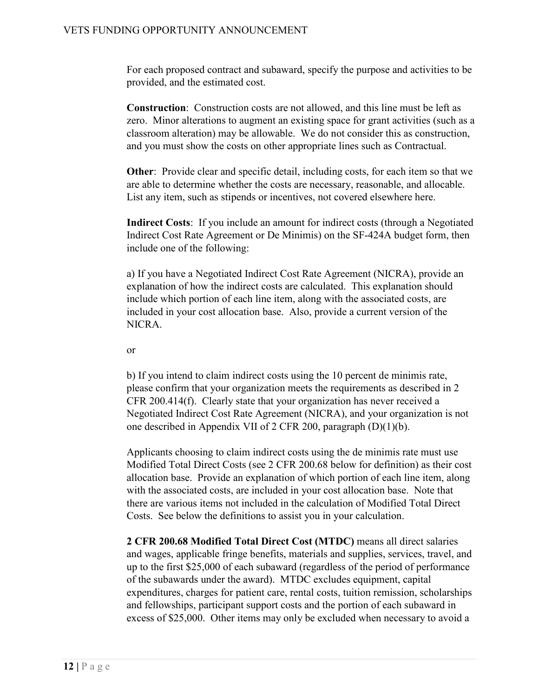For each proposed contract and subaward, specify the purpose and activities to be provided, and the estimated cost.

**Construction**: Construction costs are not allowed, and this line must be left as zero. Minor alterations to augment an existing space for grant activities (such as a classroom alteration) may be allowable. We do not consider this as construction, and you must show the costs on other appropriate lines such as Contractual.

**Other**: Provide clear and specific detail, including costs, for each item so that we are able to determine whether the costs are necessary, reasonable, and allocable. List any item, such as stipends or incentives, not covered elsewhere here.

**Indirect Costs**: If you include an amount for indirect costs (through a Negotiated Indirect Cost Rate Agreement or De Minimis) on the SF-424A budget form, then include one of the following:

a) If you have a Negotiated Indirect Cost Rate Agreement (NICRA), provide an explanation of how the indirect costs are calculated. This explanation should include which portion of each line item, along with the associated costs, are included in your cost allocation base. Also, provide a current version of the NICRA.

or

b) If you intend to claim indirect costs using the 10 percent de minimis rate, please confirm that your organization meets the requirements as described in 2 CFR 200.414(f). Clearly state that your organization has never received a Negotiated Indirect Cost Rate Agreement (NICRA), and your organization is not one described in Appendix VII of 2 CFR 200, paragraph (D)(1)(b).

Applicants choosing to claim indirect costs using the de minimis rate must use Modified Total Direct Costs (see 2 CFR 200.68 below for definition) as their cost allocation base. Provide an explanation of which portion of each line item, along with the associated costs, are included in your cost allocation base. Note that there are various items not included in the calculation of Modified Total Direct Costs. See below the definitions to assist you in your calculation.

**2 CFR 200.68 Modified Total Direct Cost (MTDC)** means all direct salaries and wages, applicable fringe benefits, materials and supplies, services, travel, and up to the first \$25,000 of each subaward (regardless of the period of performance of the subawards under the award). MTDC excludes equipment, capital expenditures, charges for patient care, rental costs, tuition remission, scholarships and fellowships, participant support costs and the portion of each subaward in excess of \$25,000. Other items may only be excluded when necessary to avoid a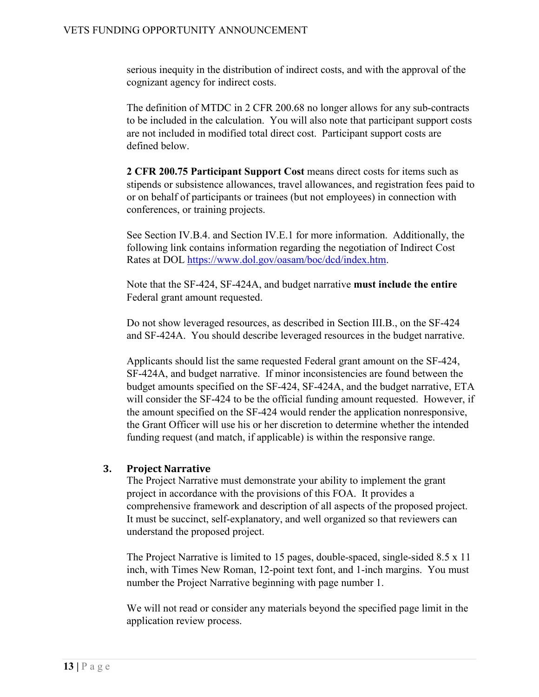serious inequity in the distribution of indirect costs, and with the approval of the cognizant agency for indirect costs.

The definition of MTDC in 2 CFR 200.68 no longer allows for any sub-contracts to be included in the calculation. You will also note that participant support costs are not included in modified total direct cost. Participant support costs are defined below.

**2 CFR 200.75 Participant Support Cost** means direct costs for items such as stipends or subsistence allowances, travel allowances, and registration fees paid to or on behalf of participants or trainees (but not employees) in connection with conferences, or training projects.

See Section IV.B.4. and Section IV.E.1 for more information. Additionally, the following link contains information regarding the negotiation of Indirect Cost Rates at DOL [https://www.dol.gov/oasam/boc/dcd/index.htm.](http://www.dol.gov/oasam/boc/dcd/index.htm)

Note that the SF-424, SF-424A, and budget narrative **must include the entire** Federal grant amount requested.

Do not show leveraged resources, as described in Section III.B., on the SF-424 and SF-424A. You should describe leveraged resources in the budget narrative.

Applicants should list the same requested Federal grant amount on the SF-424, SF-424A, and budget narrative. If minor inconsistencies are found between the budget amounts specified on the SF-424, SF-424A, and the budget narrative, ETA will consider the SF-424 to be the official funding amount requested. However, if the amount specified on the SF-424 would render the application nonresponsive, the Grant Officer will use his or her discretion to determine whether the intended funding request (and match, if applicable) is within the responsive range.

# <span id="page-12-0"></span>**3. Project Narrative**

The Project Narrative must demonstrate your ability to implement the grant project in accordance with the provisions of this FOA. It provides a comprehensive framework and description of all aspects of the proposed project. It must be succinct, self-explanatory, and well organized so that reviewers can understand the proposed project.

The Project Narrative is limited to 15 pages, double-spaced, single-sided 8.5 x 11 inch, with Times New Roman, 12-point text font, and 1-inch margins. You must number the Project Narrative beginning with page number 1.

We will not read or consider any materials beyond the specified page limit in the application review process.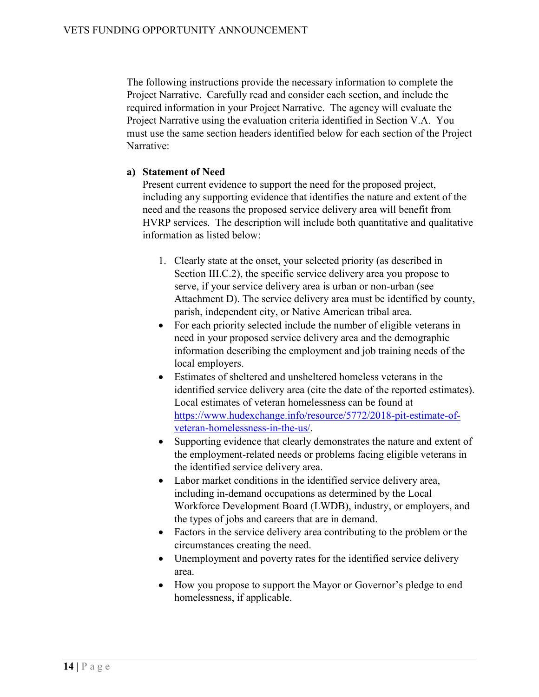The following instructions provide the necessary information to complete the Project Narrative. Carefully read and consider each section, and include the required information in your Project Narrative. The agency will evaluate the Project Narrative using the evaluation criteria identified in Section V.A. You must use the same section headers identified below for each section of the Project Narrative:

#### **a) Statement of Need**

Present current evidence to support the need for the proposed project, including any supporting evidence that identifies the nature and extent of the need and the reasons the proposed service delivery area will benefit from HVRP services. The description will include both quantitative and qualitative information as listed below:

- 1. Clearly state at the onset, your selected priority (as described in Section III.C.2), the specific service delivery area you propose to serve, if your service delivery area is urban or non-urban (see Attachment D). The service delivery area must be identified by county, parish, independent city, or Native American tribal area.
- For each priority selected include the number of eligible veterans in need in your proposed service delivery area and the demographic information describing the employment and job training needs of the local employers.
- Estimates of sheltered and unsheltered homeless veterans in the identified service delivery area (cite the date of the reported estimates). Local estimates of veteran homelessness can be found at [https://www.hudexchange.info/resource/5772/2018-pit-estimate-of](https://www.hudexchange.info/resource/5772/2018-pit-estimate-of-veteran-homelessness-in-the-us/)[veteran-homelessness-in-the-us/.](https://www.hudexchange.info/resource/5772/2018-pit-estimate-of-veteran-homelessness-in-the-us/)
- Supporting evidence that clearly demonstrates the nature and extent of the employment-related needs or problems facing eligible veterans in the identified service delivery area.
- Labor market conditions in the identified service delivery area, including in-demand occupations as determined by the Local Workforce Development Board (LWDB), industry, or employers, and the types of jobs and careers that are in demand.
- Factors in the service delivery area contributing to the problem or the circumstances creating the need.
- Unemployment and poverty rates for the identified service delivery area.
- How you propose to support the Mayor or Governor's pledge to end homelessness, if applicable.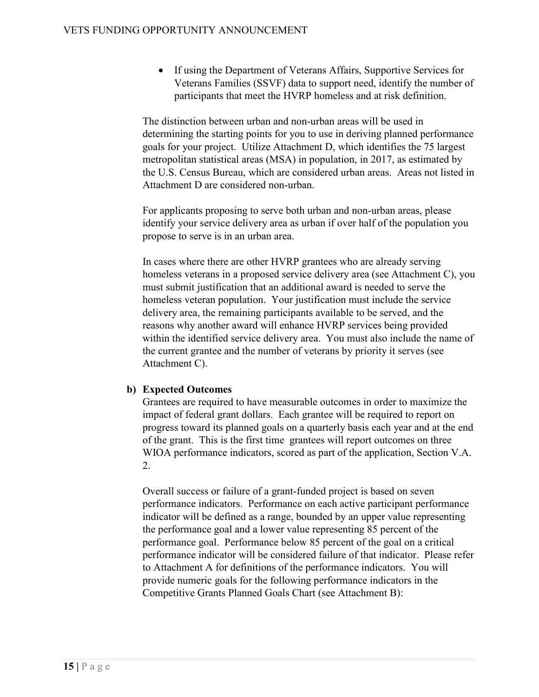• If using the Department of Veterans Affairs, Supportive Services for Veterans Families (SSVF) data to support need, identify the number of participants that meet the HVRP homeless and at risk definition.

The distinction between urban and non-urban areas will be used in determining the starting points for you to use in deriving planned performance goals for your project. Utilize Attachment D, which identifies the 75 largest metropolitan statistical areas (MSA) in population, in 2017, as estimated by the U.S. Census Bureau, which are considered urban areas. Areas not listed in Attachment D are considered non-urban.

For applicants proposing to serve both urban and non-urban areas, please identify your service delivery area as urban if over half of the population you propose to serve is in an urban area.

In cases where there are other HVRP grantees who are already serving homeless veterans in a proposed service delivery area (see Attachment C), you must submit justification that an additional award is needed to serve the homeless veteran population. Your justification must include the service delivery area, the remaining participants available to be served, and the reasons why another award will enhance HVRP services being provided within the identified service delivery area. You must also include the name of the current grantee and the number of veterans by priority it serves (see Attachment C).

# <span id="page-14-0"></span>**b) Expected Outcomes**

Grantees are required to have measurable outcomes in order to maximize the impact of federal grant dollars. Each grantee will be required to report on progress toward its planned goals on a quarterly basis each year and at the end of the grant. This is the first time grantees will report outcomes on three WIOA performance indicators, scored as part of the application, Section V.A. 2.

Overall success or failure of a grant-funded project is based on seven performance indicators. Performance on each active participant performance indicator will be defined as a range, bounded by an upper value representing the performance goal and a lower value representing 85 percent of the performance goal. Performance below 85 percent of the goal on a critical performance indicator will be considered failure of that indicator. Please refer to Attachment A for definitions of the performance indicators. You will provide numeric goals for the following performance indicators in the Competitive Grants Planned Goals Chart (see Attachment B):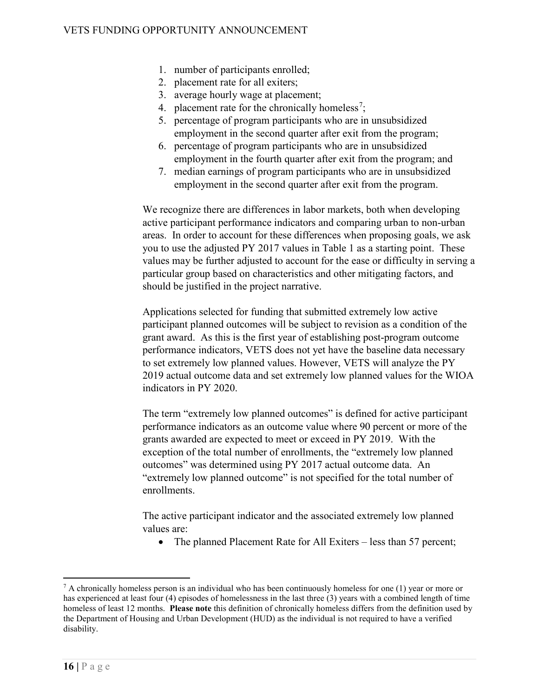- 1. number of participants enrolled;
- 2. placement rate for all exiters;
- 3. average hourly wage at placement;
- 4. placement rate for the chronically homeless<sup>[7](#page-15-0)</sup>;
- 5. percentage of program participants who are in unsubsidized employment in the second quarter after exit from the program;
- 6. percentage of program participants who are in unsubsidized employment in the fourth quarter after exit from the program; and
- 7. median earnings of program participants who are in unsubsidized employment in the second quarter after exit from the program.

We recognize there are differences in labor markets, both when developing active participant performance indicators and comparing urban to non-urban areas. In order to account for these differences when proposing goals, we ask you to use the adjusted PY 2017 values in Table 1 as a starting point. These values may be further adjusted to account for the ease or difficulty in serving a particular group based on characteristics and other mitigating factors, and should be justified in the project narrative.

Applications selected for funding that submitted extremely low active participant planned outcomes will be subject to revision as a condition of the grant award. As this is the first year of establishing post-program outcome performance indicators, VETS does not yet have the baseline data necessary to set extremely low planned values. However, VETS will analyze the PY 2019 actual outcome data and set extremely low planned values for the WIOA indicators in PY 2020.

The term "extremely low planned outcomes" is defined for active participant performance indicators as an outcome value where 90 percent or more of the grants awarded are expected to meet or exceed in PY 2019. With the exception of the total number of enrollments, the "extremely low planned outcomes" was determined using PY 2017 actual outcome data. An "extremely low planned outcome" is not specified for the total number of enrollments.

The active participant indicator and the associated extremely low planned values are:

• The planned Placement Rate for All Exiters – less than 57 percent;

<span id="page-15-0"></span> $7$  A chronically homeless person is an individual who has been continuously homeless for one (1) year or more or has experienced at least four (4) episodes of homelessness in the last three (3) years with a combined length of time homeless of least 12 months. **Please note** this definition of chronically homeless differs from the definition used by the Department of Housing and Urban Development (HUD) as the individual is not required to have a verified disability.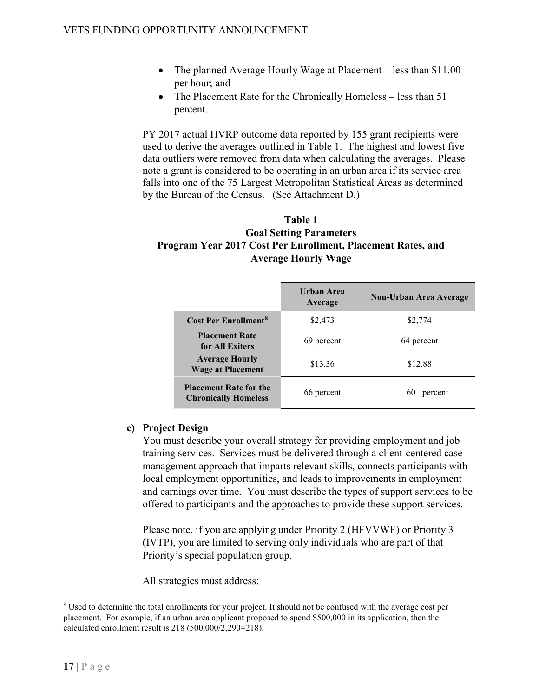- The planned Average Hourly Wage at Placement less than \$11.00 per hour; and
- The Placement Rate for the Chronically Homeless less than 51 percent.

PY 2017 actual HVRP outcome data reported by 155 grant recipients were used to derive the averages outlined in Table 1. The highest and lowest five data outliers were removed from data when calculating the averages. Please note a grant is considered to be operating in an urban area if its service area falls into one of the 75 Largest Metropolitan Statistical Areas as determined by the Bureau of the Census. (See Attachment D.)

# **Table 1 Goal Setting Parameters Program Year 2017 Cost Per Enrollment, Placement Rates, and Average Hourly Wage**

|                                                              | Urban Area<br>Average | Non-Urban Area Average |
|--------------------------------------------------------------|-----------------------|------------------------|
| <b>Cost Per Enrollment<sup>8</sup></b>                       | \$2,473               | \$2,774                |
| <b>Placement Rate</b><br>for All Exiters                     | 69 percent            | 64 percent             |
| <b>Average Hourly</b><br><b>Wage at Placement</b>            | \$13.36               | \$12.88                |
| <b>Placement Rate for the</b><br><b>Chronically Homeless</b> | 66 percent            | 60<br>percent          |

#### <span id="page-16-1"></span>**c) Project Design**

You must describe your overall strategy for providing employment and job training services. Services must be delivered through a client-centered case management approach that imparts relevant skills, connects participants with local employment opportunities, and leads to improvements in employment and earnings over time. You must describe the types of support services to be offered to participants and the approaches to provide these support services.

Please note, if you are applying under Priority 2 (HFVVWF) or Priority 3 (IVTP), you are limited to serving only individuals who are part of that Priority's special population group.

All strategies must address:

<span id="page-16-0"></span><sup>&</sup>lt;sup>8</sup> Used to determine the total enrollments for your project. It should not be confused with the average cost per placement. For example, if an urban area applicant proposed to spend \$500,000 in its application, then the calculated enrollment result is 218 (500,000/2,290=218).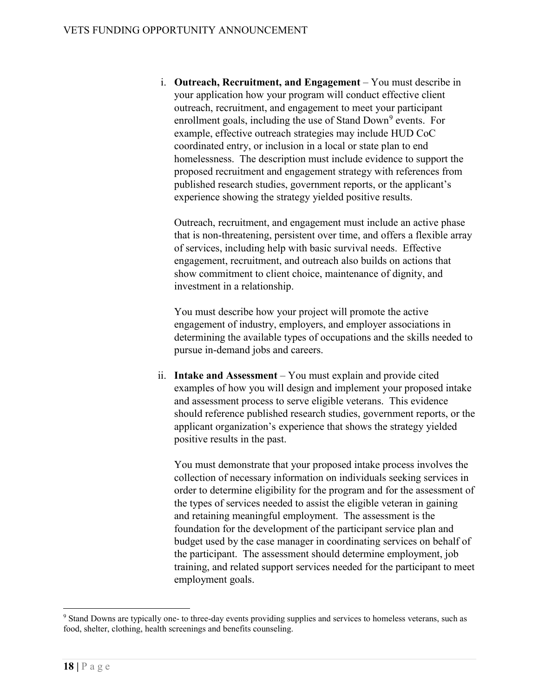i. **Outreach, Recruitment, and Engagement** – You must describe in your application how your program will conduct effective client outreach, recruitment, and engagement to meet your participant enrollment goals, including the use of Stand Down<sup>[9](#page-17-0)</sup> events. For example, effective outreach strategies may include HUD CoC coordinated entry, or inclusion in a local or state plan to end homelessness. The description must include evidence to support the proposed recruitment and engagement strategy with references from published research studies, government reports, or the applicant's experience showing the strategy yielded positive results.

Outreach, recruitment, and engagement must include an active phase that is non-threatening, persistent over time, and offers a flexible array of services, including help with basic survival needs. Effective engagement, recruitment, and outreach also builds on actions that show commitment to client choice, maintenance of dignity, and investment in a relationship.

You must describe how your project will promote the active engagement of industry, employers, and employer associations in determining the available types of occupations and the skills needed to pursue in-demand jobs and careers.

ii. **Intake and Assessment** – You must explain and provide cited examples of how you will design and implement your proposed intake and assessment process to serve eligible veterans. This evidence should reference published research studies, government reports, or the applicant organization's experience that shows the strategy yielded positive results in the past.

You must demonstrate that your proposed intake process involves the collection of necessary information on individuals seeking services in order to determine eligibility for the program and for the assessment of the types of services needed to assist the eligible veteran in gaining and retaining meaningful employment. The assessment is the foundation for the development of the participant service plan and budget used by the case manager in coordinating services on behalf of the participant. The assessment should determine employment, job training, and related support services needed for the participant to meet employment goals.

<span id="page-17-0"></span> <sup>9</sup> Stand Downs are typically one- to three-day events providing supplies and services to homeless veterans, such as food, shelter, clothing, health screenings and benefits counseling.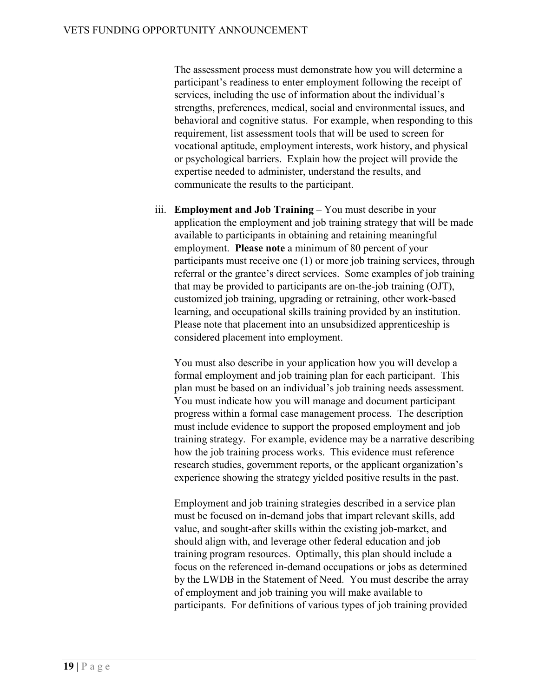The assessment process must demonstrate how you will determine a participant's readiness to enter employment following the receipt of services, including the use of information about the individual's strengths, preferences, medical, social and environmental issues, and behavioral and cognitive status. For example, when responding to this requirement, list assessment tools that will be used to screen for vocational aptitude, employment interests, work history, and physical or psychological barriers. Explain how the project will provide the expertise needed to administer, understand the results, and communicate the results to the participant.

iii. **Employment and Job Training** – You must describe in your application the employment and job training strategy that will be made available to participants in obtaining and retaining meaningful employment. **Please note** a minimum of 80 percent of your participants must receive one (1) or more job training services, through referral or the grantee's direct services.Some examples of job training that may be provided to participants are on-the-job training (OJT), customized job training, upgrading or retraining, other work-based learning, and occupational skills training provided by an institution. Please note that placement into an unsubsidized apprenticeship is considered placement into employment.

You must also describe in your application how you will develop a formal employment and job training plan for each participant. This plan must be based on an individual's job training needs assessment. You must indicate how you will manage and document participant progress within a formal case management process. The description must include evidence to support the proposed employment and job training strategy. For example, evidence may be a narrative describing how the job training process works. This evidence must reference research studies, government reports, or the applicant organization's experience showing the strategy yielded positive results in the past.

Employment and job training strategies described in a service plan must be focused on in-demand jobs that impart relevant skills, add value, and sought-after skills within the existing job-market, and should align with, and leverage other federal education and job training program resources. Optimally, this plan should include a focus on the referenced in-demand occupations or jobs as determined by the LWDB in the Statement of Need. You must describe the array of employment and job training you will make available to participants. For definitions of various types of job training provided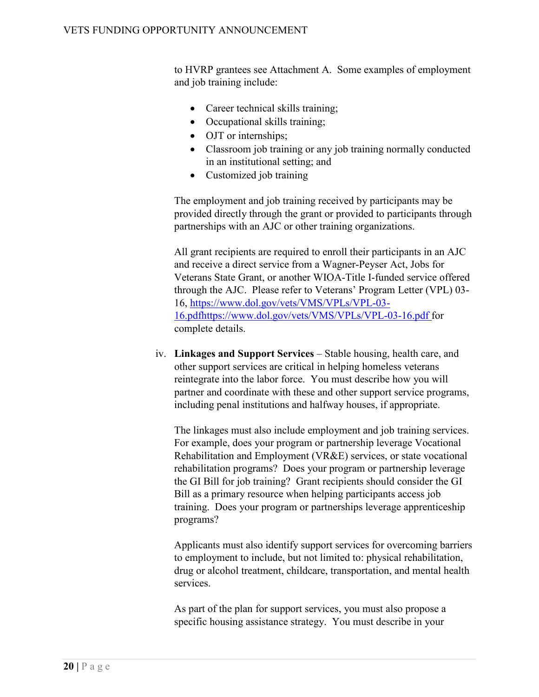to HVRP grantees see Attachment A. Some examples of employment and job training include:

- Career technical skills training;
- Occupational skills training;
- OJT or internships;
- Classroom job training or any job training normally conducted in an institutional setting; and
- Customized job training

The employment and job training received by participants may be provided directly through the grant or provided to participants through partnerships with an AJC or other training organizations.

All grant recipients are required to enroll their participants in an AJC and receive a direct service from a Wagner-Peyser Act, Jobs for Veterans State Grant, or another WIOA-Title I-funded service offered through the AJC. Please refer to Veterans' Program Letter (VPL) 03- 16, [https://www.dol.gov/vets/VMS/VPLs/VPL-03-](https://www.dol.gov/vets/VMS/VPLs/VPL-03-16.pdf) [16.pdfhttps://www.dol.gov/vets/VMS/VPLs/VPL-03-16.pdf](https://www.dol.gov/vets/VMS/VPLs/VPL-03-16.pdf) for complete details.

iv. **Linkages and Support Services** – Stable housing, health care, and other support services are critical in helping homeless veterans reintegrate into the labor force. You must describe how you will partner and coordinate with these and other support service programs, including penal institutions and halfway houses, if appropriate.

The linkages must also include employment and job training services. For example, does your program or partnership leverage Vocational Rehabilitation and Employment (VR&E) services, or state vocational rehabilitation programs? Does your program or partnership leverage the GI Bill for job training? Grant recipients should consider the GI Bill as a primary resource when helping participants access job training. Does your program or partnerships leverage apprenticeship programs?

Applicants must also identify support services for overcoming barriers to employment to include, but not limited to: physical rehabilitation, drug or alcohol treatment, childcare, transportation, and mental health services.

As part of the plan for support services, you must also propose a specific housing assistance strategy. You must describe in your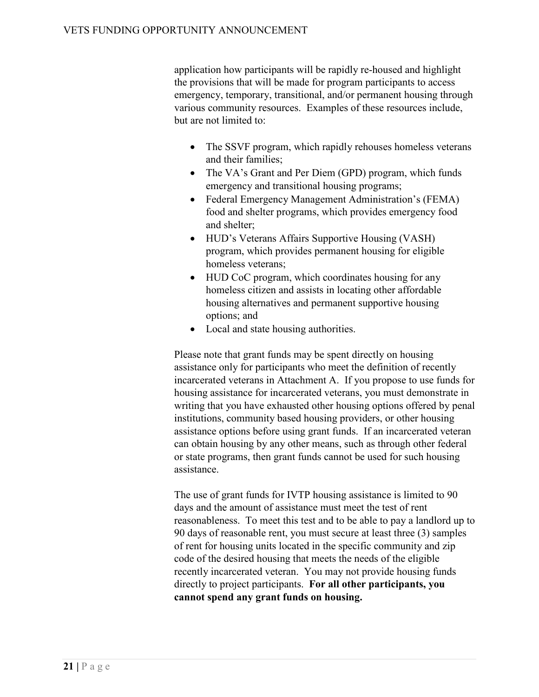application how participants will be rapidly re-housed and highlight the provisions that will be made for program participants to access emergency, temporary, transitional, and/or permanent housing through various community resources. Examples of these resources include, but are not limited to:

- The SSVF program, which rapidly rehouses homeless veterans and their families;
- The VA's Grant and Per Diem (GPD) program, which funds emergency and transitional housing programs;
- Federal Emergency Management Administration's (FEMA) food and shelter programs, which provides emergency food and shelter;
- HUD's Veterans Affairs Supportive Housing (VASH) program, which provides permanent housing for eligible homeless veterans;
- HUD CoC program, which coordinates housing for any homeless citizen and assists in locating other affordable housing alternatives and permanent supportive housing options; and
- Local and state housing authorities.

Please note that grant funds may be spent directly on housing assistance only for participants who meet the definition of recently incarcerated veterans in Attachment A. If you propose to use funds for housing assistance for incarcerated veterans, you must demonstrate in writing that you have exhausted other housing options offered by penal institutions, community based housing providers, or other housing assistance options before using grant funds. If an incarcerated veteran can obtain housing by any other means, such as through other federal or state programs, then grant funds cannot be used for such housing assistance.

The use of grant funds for IVTP housing assistance is limited to 90 days and the amount of assistance must meet the test of rent reasonableness. To meet this test and to be able to pay a landlord up to 90 days of reasonable rent, you must secure at least three (3) samples of rent for housing units located in the specific community and zip code of the desired housing that meets the needs of the eligible recently incarcerated veteran. You may not provide housing funds directly to project participants. **For all other participants, you cannot spend any grant funds on housing.**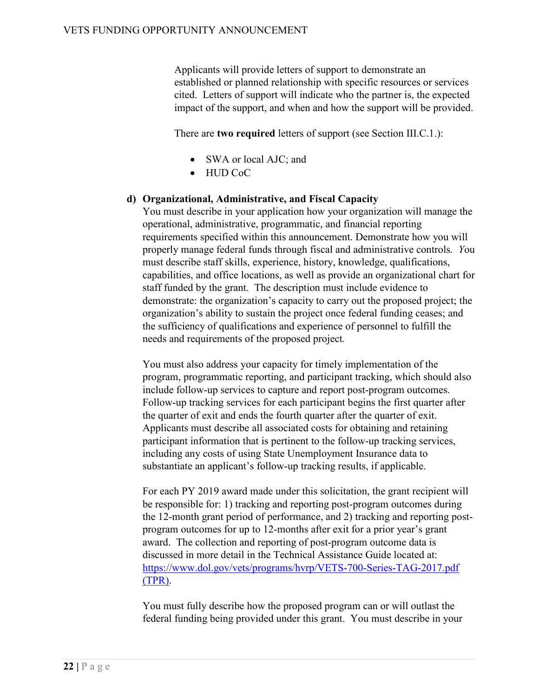Applicants will provide letters of support to demonstrate an established or planned relationship with specific resources or services cited. Letters of support will indicate who the partner is, the expected impact of the support, and when and how the support will be provided.

There are **two required** letters of support (see Section III.C.1.):

- SWA or local AJC; and
- HUD CoC

#### <span id="page-21-0"></span>**d) Organizational, Administrative, and Fiscal Capacity**

You must describe in your application how your organization will manage the operational, administrative, programmatic, and financial reporting requirements specified within this announcement. Demonstrate how you will properly manage federal funds through fiscal and administrative controls*. Y*ou must describe staff skills, experience, history, knowledge, qualifications, capabilities, and office locations, as well as provide an organizational chart for staff funded by the grant. The description must include evidence to demonstrate: the organization's capacity to carry out the proposed project; the organization's ability to sustain the project once federal funding ceases; and the sufficiency of qualifications and experience of personnel to fulfill the needs and requirements of the proposed project*.*

You must also address your capacity for timely implementation of the program, programmatic reporting, and participant tracking, which should also include follow-up services to capture and report post-program outcomes. Follow-up tracking services for each participant begins the first quarter after the quarter of exit and ends the fourth quarter after the quarter of exit. Applicants must describe all associated costs for obtaining and retaining participant information that is pertinent to the follow-up tracking services, including any costs of using State Unemployment Insurance data to substantiate an applicant's follow-up tracking results, if applicable.

For each PY 2019 award made under this solicitation, the grant recipient will be responsible for: 1) tracking and reporting post-program outcomes during the 12-month grant period of performance, and 2) tracking and reporting postprogram outcomes for up to 12-months after exit for a prior year's grant award. The collection and reporting of post-program outcome data is discussed in more detail in the Technical Assistance Guide located at: <https://www.dol.gov/vets/programs/hvrp/VETS-700-Series-TAG-2017.pdf> (TPR).

You must fully describe how the proposed program can or will outlast the federal funding being provided under this grant. You must describe in your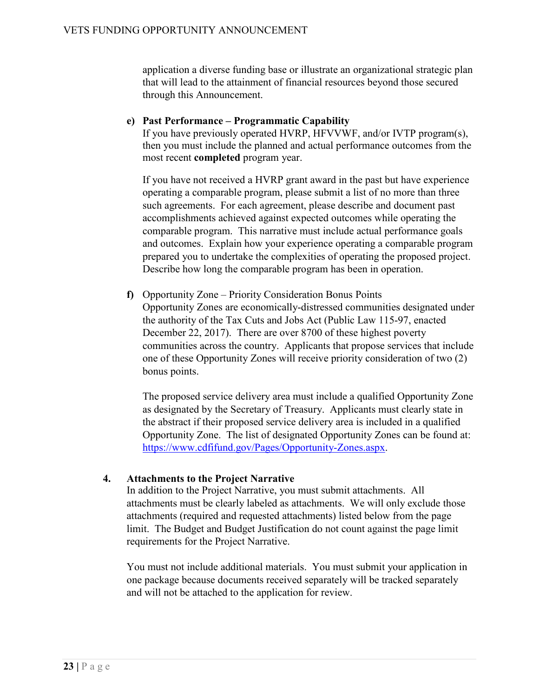application a diverse funding base or illustrate an organizational strategic plan that will lead to the attainment of financial resources beyond those secured through this Announcement.

#### <span id="page-22-0"></span>**e) Past Performance – Programmatic Capability**

If you have previously operated HVRP, HFVVWF, and/or IVTP program(s), then you must include the planned and actual performance outcomes from the most recent **completed** program year.

If you have not received a HVRP grant award in the past but have experience operating a comparable program, please submit a list of no more than three such agreements. For each agreement, please describe and document past accomplishments achieved against expected outcomes while operating the comparable program. This narrative must include actual performance goals and outcomes. Explain how your experience operating a comparable program prepared you to undertake the complexities of operating the proposed project. Describe how long the comparable program has been in operation.

**f)** Opportunity Zone – Priority Consideration Bonus Points Opportunity Zones are economically-distressed communities designated under the authority of the Tax Cuts and Jobs Act (Public Law 115-97, enacted December 22, 2017). There are over 8700 of these highest poverty communities across the country. Applicants that propose services that include one of these Opportunity Zones will receive priority consideration of two (2) bonus points.

The proposed service delivery area must include a qualified Opportunity Zone as designated by the Secretary of Treasury. Applicants must clearly state in the abstract if their proposed service delivery area is included in a qualified Opportunity Zone. The list of designated Opportunity Zones can be found at: [https://www.cdfifund.gov/Pages/Opportunity-Zones.aspx.](https://www.cdfifund.gov/Pages/Opportunity-Zones.aspx)

#### **4. Attachments to the Project Narrative**

In addition to the Project Narrative, you must submit attachments. All attachments must be clearly labeled as attachments. We will only exclude those attachments (required and requested attachments) listed below from the page limit. The Budget and Budget Justification do not count against the page limit requirements for the Project Narrative.

You must not include additional materials. You must submit your application in one package because documents received separately will be tracked separately and will not be attached to the application for review.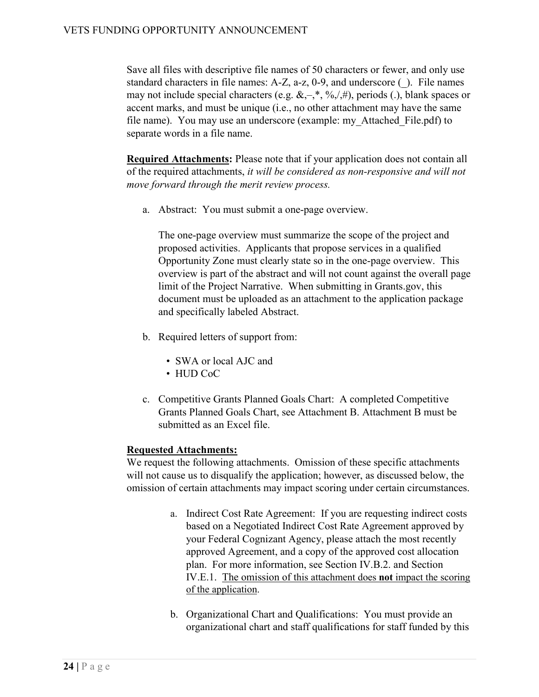Save all files with descriptive file names of 50 characters or fewer, and only use standard characters in file names: A-Z, a-z, 0-9, and underscore (\_). File names may not include special characters (e.g.  $\&, -, *, \frac{6}{7}, \frac{4}{7}$ ), periods (.), blank spaces or accent marks, and must be unique (i.e., no other attachment may have the same file name). You may use an underscore (example: my\_Attached\_File.pdf) to separate words in a file name.

**Required Attachments:** Please note that if your application does not contain all of the required attachments, *it will be considered as non-responsive and will not move forward through the merit review process.*

a. Abstract: You must submit a one-page overview.

The one-page overview must summarize the scope of the project and proposed activities. Applicants that propose services in a qualified Opportunity Zone must clearly state so in the one-page overview. This overview is part of the abstract and will not count against the overall page limit of the Project Narrative. When submitting in [Grants.gov,](http://www.grants.gov/) this document must be uploaded as an attachment to the application package and specifically labeled Abstract.

- b. Required letters of support from:
	- SWA or local AJC and
	- HUD CoC
- c. Competitive Grants Planned Goals Chart: A completed Competitive Grants Planned Goals Chart, see Attachment B. Attachment B must be submitted as an Excel file.

# **Requested Attachments:**

We request the following attachments. Omission of these specific attachments will not cause us to disqualify the application; however, as discussed below, the omission of certain attachments may impact scoring under certain circumstances.

- a. Indirect Cost Rate Agreement: If you are requesting indirect costs based on a Negotiated Indirect Cost Rate Agreement approved by your Federal Cognizant Agency, please attach the most recently approved Agreement, and a copy of the approved cost allocation plan. For more information, see Section IV.B.2. and Section IV.E.1. The omission of this attachment does **not** impact the scoring of the application.
- b. Organizational Chart and Qualifications: You must provide an organizational chart and staff qualifications for staff funded by this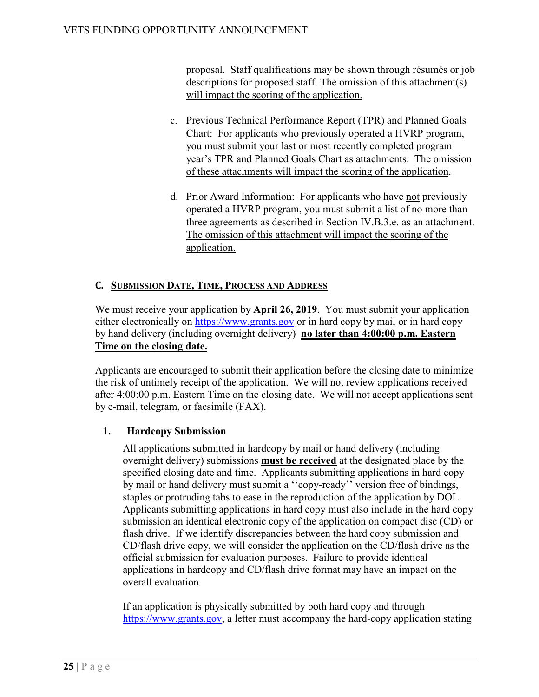proposal. Staff qualifications may be shown through résumés or job descriptions for proposed staff. The omission of this attachment(s) will impact the scoring of the application.

- c. Previous Technical Performance Report (TPR) and Planned Goals Chart: For applicants who previously operated a HVRP program, you must submit your last or most recently completed program year's TPR and Planned Goals Chart as attachments. The omission of these attachments will impact the scoring of the application.
- d. Prior Award Information: For applicants who have not previously operated a HVRP program, you must submit a list of no more than three agreements as described in Section IV.B.3.e. as an attachment. The omission of this attachment will impact the scoring of the application.

# **C. SUBMISSION DATE, TIME, PROCESS AND ADDRESS**

We must receive your application by **April 26, 2019**. You must submit your application either electronically on [https://www.grants.gov](http://www.grants.gov/) or in hard copy by mail or in hard copy by hand delivery (including overnight delivery) **no later than 4:00:00 p.m. Eastern Time on the closing date.** 

Applicants are encouraged to submit their application before the closing date to minimize the risk of untimely receipt of the application. We will not review applications received after 4:00:00 p.m. Eastern Time on the closing date.We will not accept applications sent by e-mail, telegram, or facsimile (FAX).

# **1. Hardcopy Submission**

All applications submitted in hardcopy by mail or hand delivery (including overnight delivery) submissions **must be received** at the designated place by the specified closing date and time. Applicants submitting applications in hard copy by mail or hand delivery must submit a ''copy-ready'' version free of bindings, staples or protruding tabs to ease in the reproduction of the application by DOL. Applicants submitting applications in hard copy must also include in the hard copy submission an identical electronic copy of the application on compact disc (CD) or flash drive. If we identify discrepancies between the hard copy submission and CD/flash drive copy, we will consider the application on the CD/flash drive as the official submission for evaluation purposes. Failure to provide identical applications in hardcopy and CD/flash drive format may have an impact on the overall evaluation.

If an application is physically submitted by both hard copy and through [https://www.grants.gov,](http://www.grants.gov/) a letter must accompany the hard-copy application stating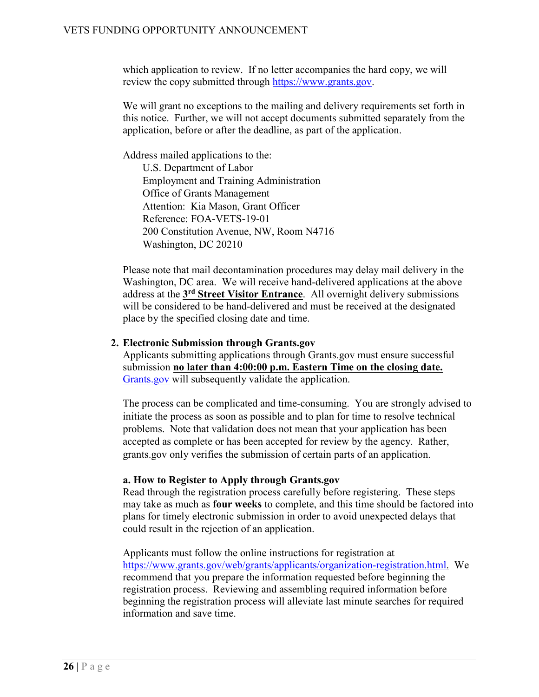which application to review. If no letter accompanies the hard copy, we will review the copy submitted through [https://www.grants.gov.](http://www.grants.gov/)

We will grant no exceptions to the mailing and delivery requirements set forth in this notice. Further, we will not accept documents submitted separately from the application, before or after the deadline, as part of the application.

Address mailed applications to the:

U.S. Department of Labor Employment and Training Administration Office of Grants Management Attention: Kia Mason, Grant Officer Reference: FOA-VETS-19-01 200 Constitution Avenue, NW, Room N4716 Washington, DC 20210

Please note that mail decontamination procedures may delay mail delivery in the Washington, DC area. We will receive hand-delivered applications at the above address at the **3rd Street Visitor Entrance**. All overnight delivery submissions will be considered to be hand-delivered and must be received at the designated place by the specified closing date and time.

#### **2. Electronic Submission through Grants.gov**

Applicants submitting applications through Grants.gov must ensure successful submission **no later than 4:00:00 p.m. Eastern Time on the closing date.** [Grants.gov](https://www.grants.gov/) will subsequently validate the application.

The process can be complicated and time-consuming. You are strongly advised to initiate the process as soon as possible and to plan for time to resolve technical problems. Note that validation does not mean that your application has been accepted as complete or has been accepted for review by the agency. Rather, grants.gov only verifies the submission of certain parts of an application.

#### **a. How to Register to Apply through Grants.gov**

Read through the registration process carefully before registering. These steps may take as much as **four weeks** to complete, and this time should be factored into plans for timely electronic submission in order to avoid unexpected delays that could result in the rejection of an application.

Applicants must follow the online instructions for registration at [https://www.grants.gov/web/grants/applicants/organization-registration.html.](https://www.grants.gov/web/grants/applicants/organization-registration.html) We recommend that you prepare the information requested before beginning the registration process. Reviewing and assembling required information before beginning the registration process will alleviate last minute searches for required information and save time.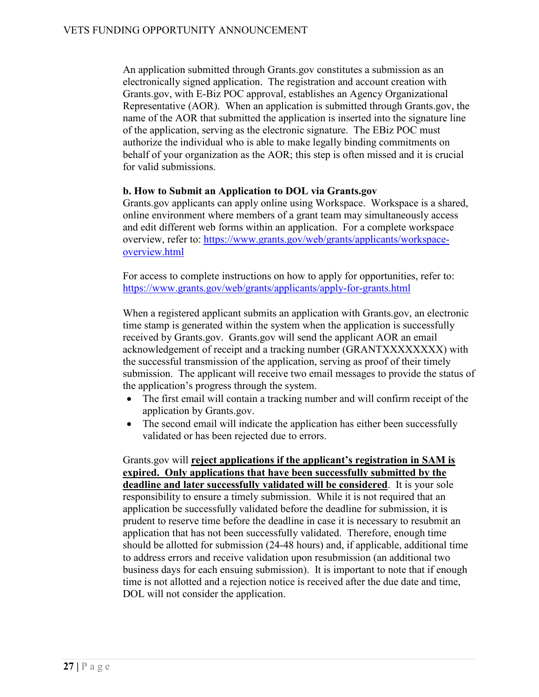An application submitted through Grants.gov constitutes a submission as an electronically signed application. The registration and account creation with Grants.gov, with E-Biz POC approval, establishes an Agency Organizational Representative (AOR). When an application is submitted through Grants.gov, the name of the AOR that submitted the application is inserted into the signature line of the application, serving as the electronic signature. The EBiz POC must authorize the individual who is able to make legally binding commitments on behalf of your organization as the AOR; this step is often missed and it is crucial for valid submissions.

#### **b. How to Submit an Application to DOL via Grants.gov**

Grants.gov applicants can apply online using Workspace. Workspace is a shared, online environment where members of a grant team may simultaneously access and edit different web forms within an application. For a complete workspace overview, refer to: [https://www.grants.gov/web/grants/applicants/workspace](https://www.grants.gov/web/grants/applicants/workspace-overview.html)[overview.html](https://www.grants.gov/web/grants/applicants/workspace-overview.html)

For access to complete instructions on how to apply for opportunities, refer to: <https://www.grants.gov/web/grants/applicants/apply-for-grants.html>

When a registered applicant submits an application with Grants.gov, an electronic time stamp is generated within the system when the application is successfully received by Grants.gov. Grants.gov will send the applicant AOR an email acknowledgement of receipt and a tracking number (GRANTXXXXXXXX) with the successful transmission of the application, serving as proof of their timely submission. The applicant will receive two email messages to provide the status of the application's progress through the system.

- The first email will contain a tracking number and will confirm receipt of the application by Grants.gov.
- The second email will indicate the application has either been successfully validated or has been rejected due to errors.

Grants.gov will **reject applications if the applicant's registration in SAM is expired. Only applications that have been successfully submitted by the deadline and later successfully validated will be considered**. It is your sole responsibility to ensure a timely submission. While it is not required that an application be successfully validated before the deadline for submission, it is prudent to reserve time before the deadline in case it is necessary to resubmit an application that has not been successfully validated. Therefore, enough time should be allotted for submission (24-48 hours) and, if applicable, additional time to address errors and receive validation upon resubmission (an additional two business days for each ensuing submission). It is important to note that if enough time is not allotted and a rejection notice is received after the due date and time, DOL will not consider the application.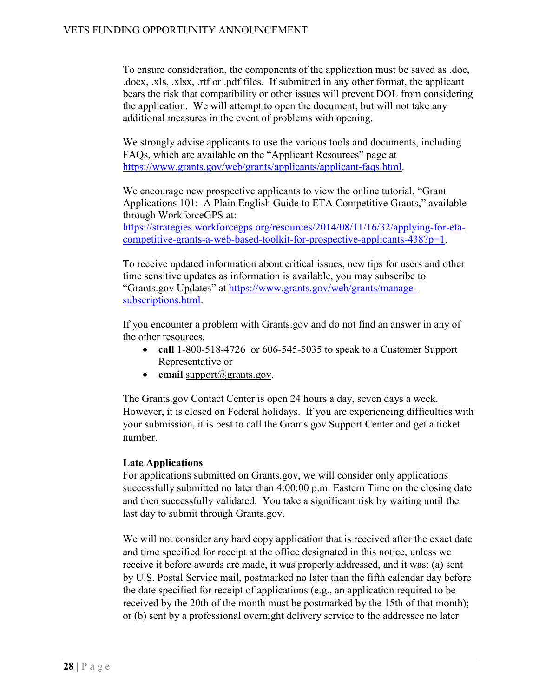To ensure consideration, the components of the application must be saved as .doc, .docx, .xls, .xlsx, .rtf or .pdf files. If submitted in any other format, the applicant bears the risk that compatibility or other issues will prevent DOL from considering the application. We will attempt to open the document, but will not take any additional measures in the event of problems with opening.

We strongly advise applicants to use the various tools and documents, including FAQs, which are available on the "Applicant Resources" page at [https://www.grants.gov/web/grants/applicants/applicant-faqs.html.](http://www.grants.gov/web/grants/applicants/applicant-faqs.html)

We encourage new prospective applicants to view the online tutorial, "Grant Applications 101: A Plain English Guide to ETA Competitive Grants," available through WorkforceGPS at:

[https://strategies.workforcegps.org/resources/2014/08/11/16/32/applying-for-eta](https://strategies.workforcegps.org/resources/2014/08/11/16/32/applying-for-eta-competitive-grants-a-web-based-toolkit-for-prospective-applicants-438?p=1)[competitive-grants-a-web-based-toolkit-for-prospective-applicants-438?p=1.](https://strategies.workforcegps.org/resources/2014/08/11/16/32/applying-for-eta-competitive-grants-a-web-based-toolkit-for-prospective-applicants-438?p=1)

To receive updated information about critical issues, new tips for users and other time sensitive updates as information is available, you may subscribe to "Grants.gov Updates" at [https://www.grants.gov/web/grants/manage](http://www.grants.gov/web/grants/manage-subscriptions.html)[subscriptions.html.](http://www.grants.gov/web/grants/manage-subscriptions.html)

If you encounter a problem with Grants.gov and do not find an answer in any of the other resources,

- **call** 1-800-518-4726 or 606-545-5035 to speak to a Customer Support Representative or
- **email** [support@grants.gov.](mailto:support@grants.gov)

The Grants.gov Contact Center is open 24 hours a day, seven days a week. However, it is closed on Federal holidays. If you are experiencing difficulties with your submission, it is best to call the Grants.gov Support Center and get a ticket number.

#### **Late Applications**

For applications submitted on Grants.gov, we will consider only applications successfully submitted no later than 4:00:00 p.m. Eastern Time on the closing date and then successfully validated. You take a significant risk by waiting until the last day to submit through Grants.gov.

We will not consider any hard copy application that is received after the exact date and time specified for receipt at the office designated in this notice, unless we receive it before awards are made, it was properly addressed, and it was: (a) sent by U.S. Postal Service mail, postmarked no later than the fifth calendar day before the date specified for receipt of applications (e.g., an application required to be received by the 20th of the month must be postmarked by the 15th of that month); or (b) sent by a professional overnight delivery service to the addressee no later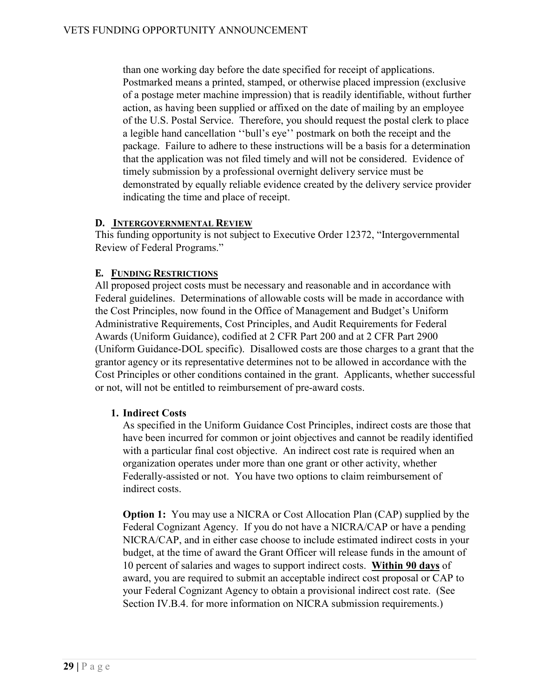than one working day before the date specified for receipt of applications. Postmarked means a printed, stamped, or otherwise placed impression (exclusive of a postage meter machine impression) that is readily identifiable, without further action, as having been supplied or affixed on the date of mailing by an employee of the U.S. Postal Service. Therefore, you should request the postal clerk to place a legible hand cancellation ''bull's eye'' postmark on both the receipt and the package. Failure to adhere to these instructions will be a basis for a determination that the application was not filed timely and will not be considered. Evidence of timely submission by a professional overnight delivery service must be demonstrated by equally reliable evidence created by the delivery service provider indicating the time and place of receipt.

#### **D. INTERGOVERNMENTAL REVIEW**

This funding opportunity is not subject to Executive Order 12372, "Intergovernmental Review of Federal Programs."

# **E. FUNDING RESTRICTIONS**

All proposed project costs must be necessary and reasonable and in accordance with Federal guidelines. Determinations of allowable costs will be made in accordance with the Cost Principles, now found in the Office of Management and Budget's Uniform Administrative Requirements, Cost Principles, and Audit Requirements for Federal Awards (Uniform Guidance), codified at 2 CFR Part 200 and at 2 CFR Part 2900 (Uniform Guidance-DOL specific). Disallowed costs are those charges to a grant that the grantor agency or its representative determines not to be allowed in accordance with the Cost Principles or other conditions contained in the grant. Applicants, whether successful or not, will not be entitled to reimbursement of pre-award costs.

# **1. Indirect Costs**

As specified in the Uniform Guidance Cost Principles, indirect costs are those that have been incurred for common or joint objectives and cannot be readily identified with a particular final cost objective. An indirect cost rate is required when an organization operates under more than one grant or other activity, whether Federally-assisted or not. You have two options to claim reimbursement of indirect costs.

**Option 1:** You may use a NICRA or Cost Allocation Plan (CAP) supplied by the Federal Cognizant Agency. If you do not have a NICRA/CAP or have a pending NICRA/CAP, and in either case choose to include estimated indirect costs in your budget, at the time of award the Grant Officer will release funds in the amount of 10 percent of salaries and wages to support indirect costs. **Within 90 days** of award, you are required to submit an acceptable indirect cost proposal or CAP to your Federal Cognizant Agency to obtain a provisional indirect cost rate. (See Section IV.B.4. for more information on NICRA submission requirements.)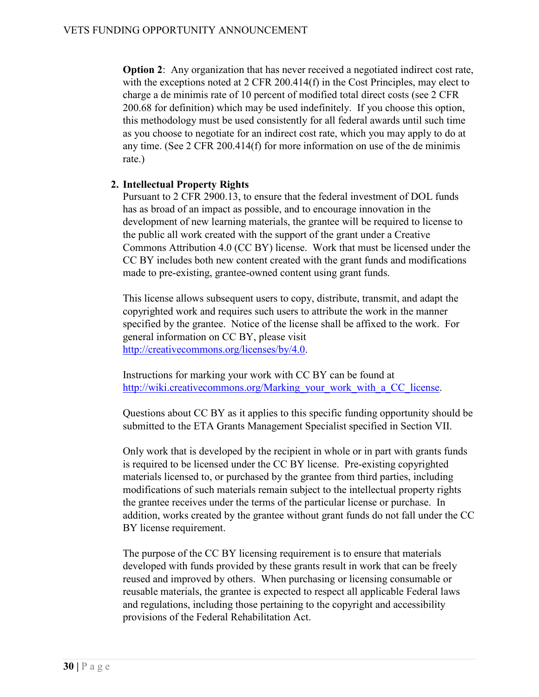**Option 2:** Any organization that has never received a negotiated indirect cost rate, with the exceptions noted at 2 CFR 200.414(f) in the Cost Principles, may elect to charge a de minimis rate of 10 percent of modified total direct costs (see 2 CFR 200.68 for definition) which may be used indefinitely. If you choose this option, this methodology must be used consistently for all federal awards until such time as you choose to negotiate for an indirect cost rate, which you may apply to do at any time. (See 2 CFR 200.414(f) for more information on use of the de minimis rate.)

#### **2. Intellectual Property Rights**

Pursuant to 2 CFR 2900.13, to ensure that the federal investment of DOL funds has as broad of an impact as possible, and to encourage innovation in the development of new learning materials, the grantee will be required to license to the public all work created with the support of the grant under a Creative Commons Attribution 4.0 (CC BY) license. Work that must be licensed under the CC BY includes both new content created with the grant funds and modifications made to pre-existing, grantee-owned content using grant funds.

This license allows subsequent users to copy, distribute, transmit, and adapt the copyrighted work and requires such users to attribute the work in the manner specified by the grantee. Notice of the license shall be affixed to the work. For general information on CC BY, please visit [http://creativecommons.org/licenses/by/4.0.](http://creativecommons.org/licenses/by/4.0)

Instructions for marking your work with CC BY can be found at [http://wiki.creativecommons.org/Marking\\_your\\_work\\_with\\_a\\_CC\\_license.](http://wiki.creativecommons.org/Marking_your_work_with_a_CC_license)

Questions about CC BY as it applies to this specific funding opportunity should be submitted to the ETA Grants Management Specialist specified in Section VII.

Only work that is developed by the recipient in whole or in part with grants funds is required to be licensed under the CC BY license. Pre-existing copyrighted materials licensed to, or purchased by the grantee from third parties, including modifications of such materials remain subject to the intellectual property rights the grantee receives under the terms of the particular license or purchase. In addition, works created by the grantee without grant funds do not fall under the CC BY license requirement.

The purpose of the CC BY licensing requirement is to ensure that materials developed with funds provided by these grants result in work that can be freely reused and improved by others. When purchasing or licensing consumable or reusable materials, the grantee is expected to respect all applicable Federal laws and regulations, including those pertaining to the copyright and accessibility provisions of the Federal Rehabilitation Act.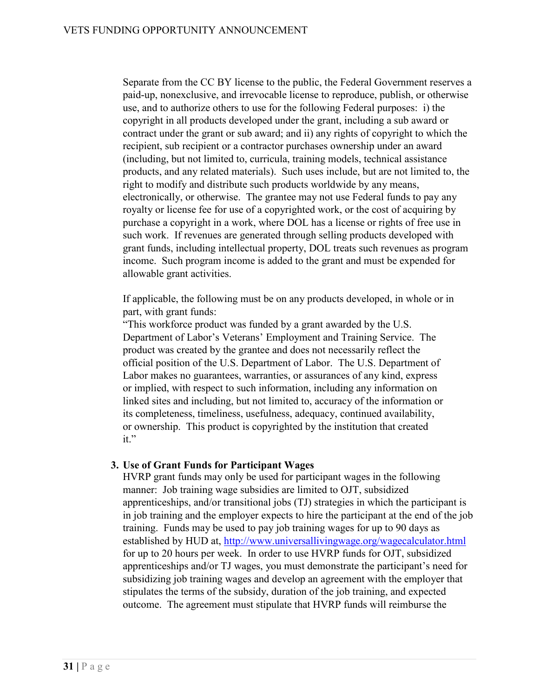Separate from the CC BY license to the public, the Federal Government reserves a paid-up, nonexclusive, and irrevocable license to reproduce, publish, or otherwise use, and to authorize others to use for the following Federal purposes: i) the copyright in all products developed under the grant, including a sub award or contract under the grant or sub award; and ii) any rights of copyright to which the recipient, sub recipient or a contractor purchases ownership under an award (including, but not limited to, curricula, training models, technical assistance products, and any related materials). Such uses include, but are not limited to, the right to modify and distribute such products worldwide by any means, electronically, or otherwise. The grantee may not use Federal funds to pay any royalty or license fee for use of a copyrighted work, or the cost of acquiring by purchase a copyright in a work, where DOL has a license or rights of free use in such work. If revenues are generated through selling products developed with grant funds, including intellectual property, DOL treats such revenues as program income. Such program income is added to the grant and must be expended for allowable grant activities.

If applicable, the following must be on any products developed, in whole or in part, with grant funds:

"This workforce product was funded by a grant awarded by the U.S. Department of Labor's Veterans' Employment and Training Service. The product was created by the grantee and does not necessarily reflect the official position of the U.S. Department of Labor. The U.S. Department of Labor makes no guarantees, warranties, or assurances of any kind, express or implied, with respect to such information, including any information on linked sites and including, but not limited to, accuracy of the information or its completeness, timeliness, usefulness, adequacy, continued availability, or ownership. This product is copyrighted by the institution that created it."

#### **3. Use of Grant Funds for Participant Wages**

HVRP grant funds may only be used for participant wages in the following manner: Job training wage subsidies are limited to OJT, subsidized apprenticeships, and/or transitional jobs (TJ) strategies in which the participant is in job training and the employer expects to hire the participant at the end of the job training. Funds may be used to pay job training wages for up to 90 days as established by HUD at, <http://www.universallivingwage.org/wagecalculator.html> for up to 20 hours per week. In order to use HVRP funds for OJT, subsidized apprenticeships and/or TJ wages, you must demonstrate the participant's need for subsidizing job training wages and develop an agreement with the employer that stipulates the terms of the subsidy, duration of the job training, and expected outcome. The agreement must stipulate that HVRP funds will reimburse the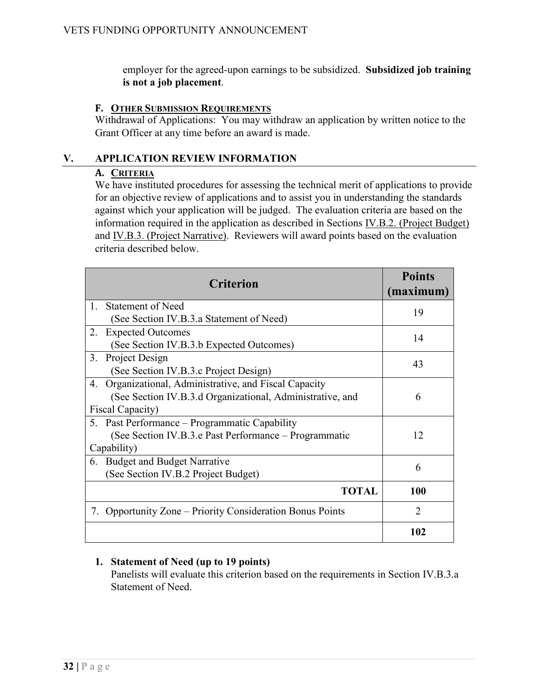employer for the agreed-upon earnings to be subsidized. **Subsidized job training is not a job placement**.

#### **F. OTHER SUBMISSION REQUIREMENTS**

Withdrawal of Applications: You may withdraw an application by written notice to the Grant Officer at any time before an award is made.

#### **V. APPLICATION REVIEW INFORMATION**

#### **A. CRITERIA**

We have instituted procedures for assessing the technical merit of applications to provide for an objective review of applications and to assist you in understanding the standards against which your application will be judged. The evaluation criteria are based on the information required in the application as described in Sections [IV.B.2. \(Project Budget\)](#page-9-0) and IV.B.3. (Project Narrative). Reviewers will award points based on the evaluation criteria described below.

| <b>Criterion</b>                                          | <b>Points</b><br>(maximum) |
|-----------------------------------------------------------|----------------------------|
| Statement of Need<br>$\mathbf{1}_{\cdot}$                 | 19                         |
| (See Section IV.B.3.a Statement of Need)                  |                            |
| <b>Expected Outcomes</b><br>2.                            | 14                         |
| (See Section IV.B.3.b Expected Outcomes)                  |                            |
| Project Design<br>3.                                      | 43                         |
| (See Section IV.B.3.c Project Design)                     |                            |
| Organizational, Administrative, and Fiscal Capacity<br>4. |                            |
| (See Section IV.B.3.d Organizational, Administrative, and | 6                          |
| Fiscal Capacity)                                          |                            |
| 5. Past Performance – Programmatic Capability             |                            |
| (See Section IV.B.3.e Past Performance – Programmatic     | 12                         |
| Capability)                                               |                            |
| <b>Budget and Budget Narrative</b><br>6.                  | 6                          |
| (See Section IV.B.2 Project Budget)                       |                            |
| <b>TOTAL</b>                                              | 100                        |
| 7. Opportunity Zone – Priority Consideration Bonus Points | $\mathfrak{D}$             |
|                                                           | 102                        |

# **1. Statement of Need (up to 19 points)**

Panelists will evaluate this criterion based on the requirements in Section IV.B.3.a Statement of Need.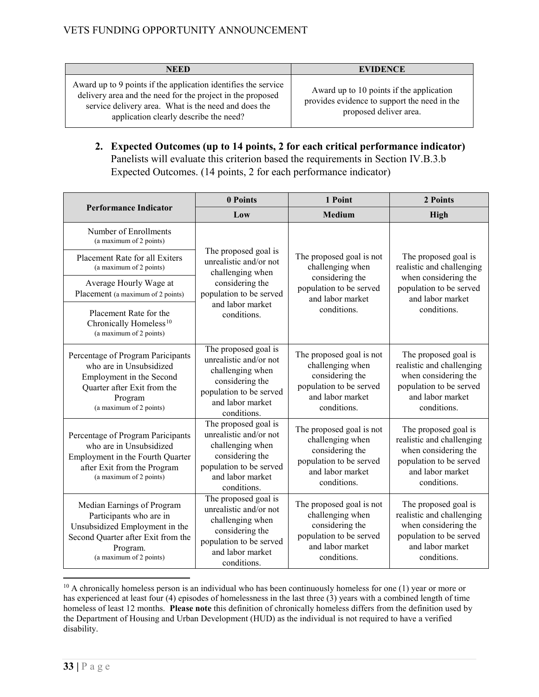| <b>NEED</b>                                                                                                                                                                                                                    | <b>EVIDENCE</b>                                                                                                    |
|--------------------------------------------------------------------------------------------------------------------------------------------------------------------------------------------------------------------------------|--------------------------------------------------------------------------------------------------------------------|
| Award up to 9 points if the application identifies the service<br>delivery area and the need for the project in the proposed<br>service delivery area. What is the need and does the<br>application clearly describe the need? | Award up to 10 points if the application<br>provides evidence to support the need in the<br>proposed deliver area. |

**2. Expected Outcomes (up to 14 points, 2 for each critical performance indicator)** Panelists will evaluate this criterion based the requirements in Section IV.B.3.b Expected Outcomes. (14 points, 2 for each performance indicator)

|                                                                                                                                                                      | 0 Points                                                                                                                                                                                                                                                                             | 1 Point                                                                                                                       | 2 Points                                                                                                                                |
|----------------------------------------------------------------------------------------------------------------------------------------------------------------------|--------------------------------------------------------------------------------------------------------------------------------------------------------------------------------------------------------------------------------------------------------------------------------------|-------------------------------------------------------------------------------------------------------------------------------|-----------------------------------------------------------------------------------------------------------------------------------------|
| <b>Performance Indicator</b>                                                                                                                                         | Low                                                                                                                                                                                                                                                                                  | <b>Medium</b>                                                                                                                 | <b>High</b>                                                                                                                             |
| Number of Enrollments<br>(a maximum of 2 points)                                                                                                                     |                                                                                                                                                                                                                                                                                      |                                                                                                                               |                                                                                                                                         |
| Placement Rate for all Exiters<br>(a maximum of 2 points)                                                                                                            | The proposed goal is<br>The proposed goal is not<br>unrealistic and/or not<br>challenging when<br>challenging when<br>considering the<br>considering the<br>population to be served<br>population to be served<br>and labor market<br>and labor market<br>conditions.<br>conditions. |                                                                                                                               | The proposed goal is<br>realistic and challenging                                                                                       |
| Average Hourly Wage at<br>Placement (a maximum of 2 points)                                                                                                          |                                                                                                                                                                                                                                                                                      |                                                                                                                               | when considering the<br>population to be served<br>and labor market                                                                     |
| Placement Rate for the<br>Chronically Homeless <sup>10</sup><br>(a maximum of 2 points)                                                                              |                                                                                                                                                                                                                                                                                      |                                                                                                                               | conditions.                                                                                                                             |
| Percentage of Program Paricipants<br>who are in Unsubsidized<br>Employment in the Second<br>Quarter after Exit from the<br>Program<br>(a maximum of 2 points)        | The proposed goal is<br>unrealistic and/or not<br>challenging when<br>considering the<br>population to be served<br>and labor market<br>conditions.                                                                                                                                  | The proposed goal is not<br>challenging when<br>considering the<br>population to be served<br>and labor market<br>conditions. | The proposed goal is<br>realistic and challenging<br>when considering the<br>population to be served<br>and labor market<br>conditions. |
| Percentage of Program Paricipants<br>who are in Unsubsidized<br>Employment in the Fourth Quarter<br>after Exit from the Program<br>(a maximum of 2 points)           | The proposed goal is<br>unrealistic and/or not<br>challenging when<br>considering the<br>population to be served<br>and labor market<br>conditions.                                                                                                                                  | The proposed goal is not<br>challenging when<br>considering the<br>population to be served<br>and labor market<br>conditions. | The proposed goal is<br>realistic and challenging<br>when considering the<br>population to be served<br>and labor market<br>conditions. |
| Median Earnings of Program<br>Participants who are in<br>Unsubsidized Employment in the<br>Second Quarter after Exit from the<br>Program.<br>(a maximum of 2 points) | The proposed goal is<br>unrealistic and/or not<br>challenging when<br>considering the<br>population to be served<br>and labor market<br>conditions.                                                                                                                                  | The proposed goal is not<br>challenging when<br>considering the<br>population to be served<br>and labor market<br>conditions. | The proposed goal is<br>realistic and challenging<br>when considering the<br>population to be served<br>and labor market<br>conditions. |

<span id="page-32-0"></span> $10$  A chronically homeless person is an individual who has been continuously homeless for one (1) year or more or has experienced at least four (4) episodes of homelessness in the last three (3) years with a combined length of time homeless of least 12 months. **Please note** this definition of chronically homeless differs from the definition used by the Department of Housing and Urban Development (HUD) as the individual is not required to have a verified disability.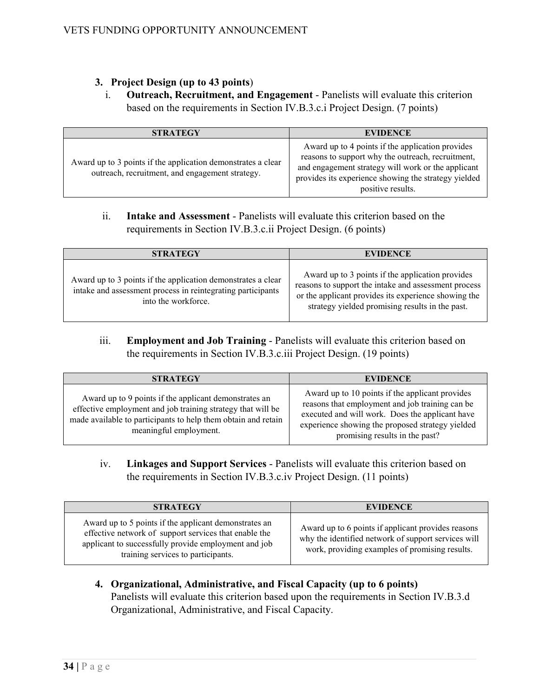## **3. Project Design (up to 43 points**)

i. **Outreach, Recruitment, and Engagement** - Panelists will evaluate this criterion based on the requirements in Section IV.B.3.c.i Project Design. (7 points)

| <b>STRATEGY</b>                                                                                                 | <b>EVIDENCE</b>                                                                                                                                                                                                                          |
|-----------------------------------------------------------------------------------------------------------------|------------------------------------------------------------------------------------------------------------------------------------------------------------------------------------------------------------------------------------------|
| Award up to 3 points if the application demonstrates a clear<br>outreach, recruitment, and engagement strategy. | Award up to 4 points if the application provides<br>reasons to support why the outreach, recruitment,<br>and engagement strategy will work or the applicant<br>provides its experience showing the strategy yielded<br>positive results. |

ii. **Intake and Assessment** - Panelists will evaluate this criterion based on the requirements in Section IV.B.3.c.ii Project Design. (6 points)

| <b>STRATEGY</b>                                                                                                                                    | <b>EVIDENCE</b>                                                                                                                                                                                                     |
|----------------------------------------------------------------------------------------------------------------------------------------------------|---------------------------------------------------------------------------------------------------------------------------------------------------------------------------------------------------------------------|
| Award up to 3 points if the application demonstrates a clear<br>intake and assessment process in reintegrating participants<br>into the workforce. | Award up to 3 points if the application provides<br>reasons to support the intake and assessment process<br>or the applicant provides its experience showing the<br>strategy yielded promising results in the past. |

iii. **Employment and Job Training** - Panelists will evaluate this criterion based on the requirements in Section IV.B.3.c.iii Project Design. (19 points)

| <b>STRATEGY</b>                                                                                                                                                                                                 | <b>EVIDENCE</b>                                                                                                                                                                                                                             |
|-----------------------------------------------------------------------------------------------------------------------------------------------------------------------------------------------------------------|---------------------------------------------------------------------------------------------------------------------------------------------------------------------------------------------------------------------------------------------|
| Award up to 9 points if the applicant demonstrates an<br>effective employment and job training strategy that will be<br>made available to participants to help them obtain and retain<br>meaningful employment. | Award up to 10 points if the applicant provides<br>reasons that employment and job training can be<br>executed and will work. Does the applicant have<br>experience showing the proposed strategy yielded<br>promising results in the past? |

iv. **Linkages and Support Services** - Panelists will evaluate this criterion based on the requirements in Section IV.B.3.c.iv Project Design. (11 points)

| <b>STRATEGY</b>                                                                                                                                                                                              | <b>EVIDENCE</b>                                                                                                                                             |
|--------------------------------------------------------------------------------------------------------------------------------------------------------------------------------------------------------------|-------------------------------------------------------------------------------------------------------------------------------------------------------------|
| Award up to 5 points if the applicant demonstrates an<br>effective network of support services that enable the<br>applicant to successfully provide employment and job<br>training services to participants. | Award up to 6 points if applicant provides reasons<br>why the identified network of support services will<br>work, providing examples of promising results. |

**4. Organizational, Administrative, and Fiscal Capacity (up to 6 points)** Panelists will evaluate this criterion based upon the requirements in Section IV.B.3.d Organizational, Administrative, and Fiscal Capacity.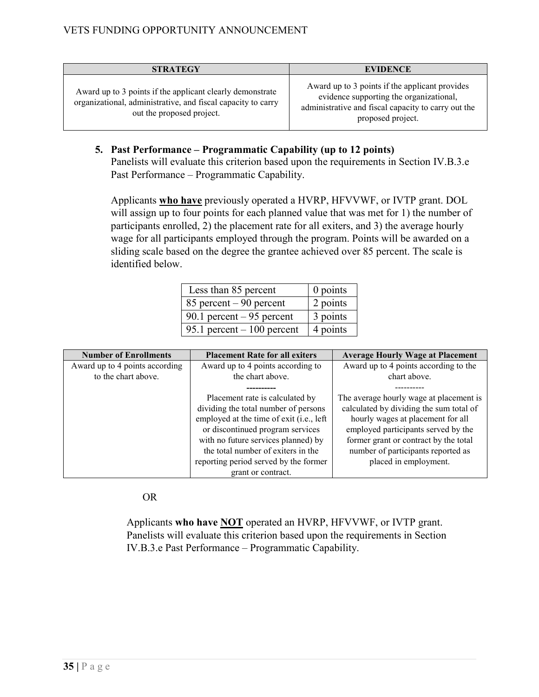| <b>STRATEGY</b>                                                                                                                                        | <b>EVIDENCE</b>                                                                                                                                                       |
|--------------------------------------------------------------------------------------------------------------------------------------------------------|-----------------------------------------------------------------------------------------------------------------------------------------------------------------------|
| Award up to 3 points if the applicant clearly demonstrate<br>organizational, administrative, and fiscal capacity to carry<br>out the proposed project. | Award up to 3 points if the applicant provides<br>evidence supporting the organizational,<br>administrative and fiscal capacity to carry out the<br>proposed project. |

**5. Past Performance – Programmatic Capability (up to 12 points)** Panelists will evaluate this criterion based upon the requirements in Section IV.B.3.e Past Performance – Programmatic Capability.

Applicants **who have** previously operated a HVRP, HFVVWF, or IVTP grant. DOL will assign up to four points for each planned value that was met for 1) the number of participants enrolled, 2) the placement rate for all exiters, and 3) the average hourly wage for all participants employed through the program. Points will be awarded on a sliding scale based on the degree the grantee achieved over 85 percent. The scale is identified below.

| Less than 85 percent        | $0$ points |
|-----------------------------|------------|
| 85 percent $-90$ percent    | 2 points   |
| 90.1 percent $-95$ percent  | 3 points   |
| 95.1 percent $-100$ percent | 4 points   |

| <b>Number of Enrollments</b>   | <b>Placement Rate for all exiters</b>                                                                                                                                                                                                                                                               | <b>Average Hourly Wage at Placement</b>                                                                                                                                                                                                                                |
|--------------------------------|-----------------------------------------------------------------------------------------------------------------------------------------------------------------------------------------------------------------------------------------------------------------------------------------------------|------------------------------------------------------------------------------------------------------------------------------------------------------------------------------------------------------------------------------------------------------------------------|
| Award up to 4 points according | Award up to 4 points according to                                                                                                                                                                                                                                                                   | Award up to 4 points according to the                                                                                                                                                                                                                                  |
| to the chart above.            | the chart above.                                                                                                                                                                                                                                                                                    | chart above.                                                                                                                                                                                                                                                           |
|                                |                                                                                                                                                                                                                                                                                                     |                                                                                                                                                                                                                                                                        |
|                                | Placement rate is calculated by<br>dividing the total number of persons<br>employed at the time of exit (i.e., left<br>or discontinued program services<br>with no future services planned) by<br>the total number of exiters in the<br>reporting period served by the former<br>grant or contract. | The average hourly wage at placement is<br>calculated by dividing the sum total of<br>hourly wages at placement for all<br>employed participants served by the<br>former grant or contract by the total<br>number of participants reported as<br>placed in employment. |

OR

Applicants **who have NOT** operated an HVRP, HFVVWF, or IVTP grant. Panelists will evaluate this criterion based upon the requirements in Section IV.B.3.e Past Performance – Programmatic Capability.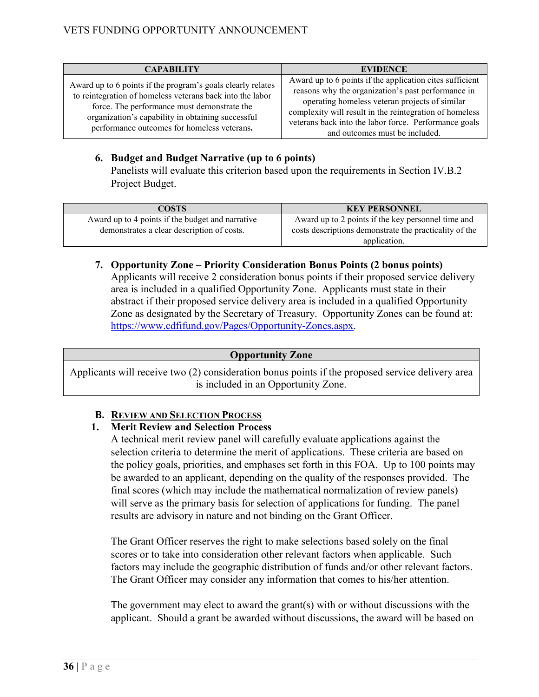| <b>CAPABILITY</b>                                                                                                                                                                                                                                                           | <b>EVIDENCE</b>                                                                                                                                                                                                                                                                                                        |
|-----------------------------------------------------------------------------------------------------------------------------------------------------------------------------------------------------------------------------------------------------------------------------|------------------------------------------------------------------------------------------------------------------------------------------------------------------------------------------------------------------------------------------------------------------------------------------------------------------------|
| Award up to 6 points if the program's goals clearly relates<br>to reintegration of homeless veterans back into the labor<br>force. The performance must demonstrate the<br>organization's capability in obtaining successful<br>performance outcomes for homeless veterans. | Award up to 6 points if the application cites sufficient<br>reasons why the organization's past performance in<br>operating homeless veteran projects of similar<br>complexity will result in the reintegration of homeless<br>veterans back into the labor force. Performance goals<br>and outcomes must be included. |

# **6. Budget and Budget Narrative (up to 6 points)**

Panelists will evaluate this criterion based upon the requirements in Section IV.B.2 Project Budget.

| COSTS                                            | <b>KEY PERSONNEL</b>                                   |
|--------------------------------------------------|--------------------------------------------------------|
| Award up to 4 points if the budget and narrative | Award up to 2 points if the key personnel time and     |
| demonstrates a clear description of costs.       | costs descriptions demonstrate the practicality of the |
|                                                  | application.                                           |

**7. Opportunity Zone – Priority Consideration Bonus Points (2 bonus points)** Applicants will receive 2 consideration bonus points if their proposed service delivery area is included in a qualified Opportunity Zone. Applicants must state in their abstract if their proposed service delivery area is included in a qualified Opportunity Zone as designated by the Secretary of Treasury. Opportunity Zones can be found at: [https://www.cdfifund.gov/Pages/Opportunity-Zones.aspx.](https://www.cdfifund.gov/Pages/Opportunity-Zones.aspx)

# **Opportunity Zone**

Applicants will receive two (2) consideration bonus points if the proposed service delivery area is included in an Opportunity Zone.

# **B. REVIEW AND SELECTION PROCESS**

# **1. Merit Review and Selection Process**

A technical merit review panel will carefully evaluate applications against the selection criteria to determine the merit of applications. These criteria are based on the policy goals, priorities, and emphases set forth in this FOA. Up to 100 points may be awarded to an applicant, depending on the quality of the responses provided. The final scores (which may include the mathematical normalization of review panels) will serve as the primary basis for selection of applications for funding. The panel results are advisory in nature and not binding on the Grant Officer.

The Grant Officer reserves the right to make selections based solely on the final scores or to take into consideration other relevant factors when applicable. Such factors may include the geographic distribution of funds and/or other relevant factors. The Grant Officer may consider any information that comes to his/her attention.

The government may elect to award the grant(s) with or without discussions with the applicant. Should a grant be awarded without discussions, the award will be based on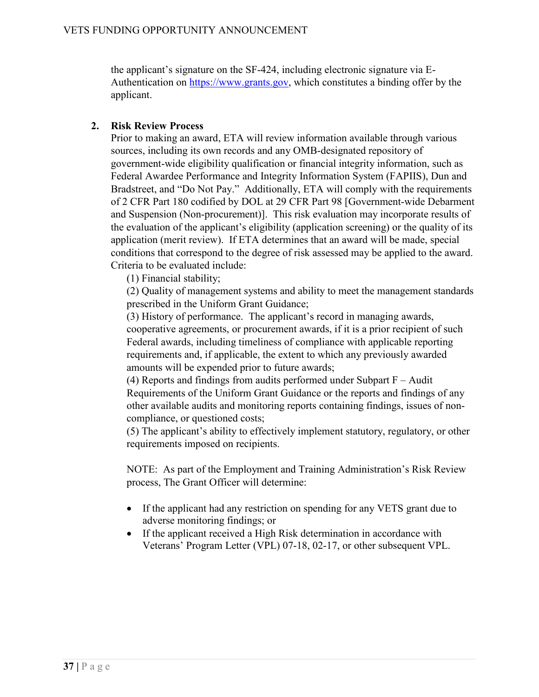the applicant's signature on the SF-424, including electronic signature via EAuthentication on [https://www.grants.gov,](http://www.grants.gov/) which constitutes a binding offer by the applicant.

# **2. Risk Review Process**

Prior to making an award, ETA will review information available through various sources, including its own records and any OMB-designated repository of government-wide eligibility qualification or financial integrity information, such as Federal Awardee Performance and Integrity Information System (FAPIIS), Dun and Bradstreet, and "Do Not Pay." Additionally, ETA will comply with the requirements of 2 CFR Part 180 codified by DOL at 29 CFR Part 98 [Government-wide Debarment and Suspension (Non-procurement)]. This risk evaluation may incorporate results of the evaluation of the applicant's eligibility (application screening) or the quality of its application (merit review). If ETA determines that an award will be made, special conditions that correspond to the degree of risk assessed may be applied to the award. Criteria to be evaluated include:

(1) Financial stability;

(2) Quality of management systems and ability to meet the management standards prescribed in the Uniform Grant Guidance;

(3) History of performance. The applicant's record in managing awards, cooperative agreements, or procurement awards, if it is a prior recipient of such Federal awards, including timeliness of compliance with applicable reporting requirements and, if applicable, the extent to which any previously awarded amounts will be expended prior to future awards;

(4) Reports and findings from audits performed under Subpart  $F -$  Audit Requirements of the Uniform Grant Guidance or the reports and findings of any other available audits and monitoring reports containing findings, issues of noncompliance, or questioned costs;

(5) The applicant's ability to effectively implement statutory, regulatory, or other requirements imposed on recipients.

NOTE: As part of the Employment and Training Administration's Risk Review process, The Grant Officer will determine:

- If the applicant had any restriction on spending for any VETS grant due to adverse monitoring findings; or
- If the applicant received a High Risk determination in accordance with Veterans' Program Letter (VPL) 07-18, 02-17, or other subsequent VPL.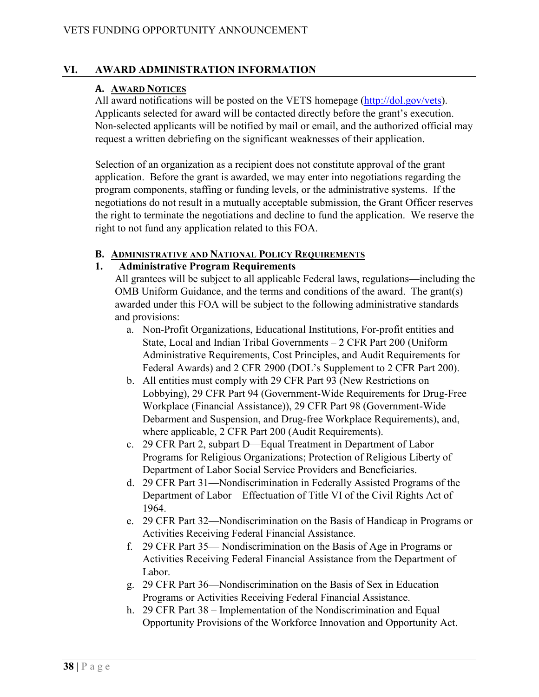#### **VI. AWARD ADMINISTRATION INFORMATION**

#### **A. AWARD NOTICES**

All award notifications will be posted on the VETS homepage [\(http://dol.gov/vets\)](http://dol.gov/vets). Applicants selected for award will be contacted directly before the grant's execution. Non-selected applicants will be notified by mail or email, and the authorized official may request a written debriefing on the significant weaknesses of their application.

Selection of an organization as a recipient does not constitute approval of the grant application. Before the grant is awarded, we may enter into negotiations regarding the program components, staffing or funding levels, or the administrative systems. If the negotiations do not result in a mutually acceptable submission, the Grant Officer reserves the right to terminate the negotiations and decline to fund the application. We reserve the right to not fund any application related to this FOA.

#### **B. ADMINISTRATIVE AND NATIONAL POLICY REQUIREMENTS**

#### **1. Administrative Program Requirements**

All grantees will be subject to all applicable Federal laws, regulations—including the OMB Uniform Guidance, and the terms and conditions of the award. The grant(s) awarded under this FOA will be subject to the following administrative standards and provisions:

- a. Non-Profit Organizations, Educational Institutions, For-profit entities and State, Local and Indian Tribal Governments – 2 CFR Part 200 (Uniform Administrative Requirements, Cost Principles, and Audit Requirements for Federal Awards) and 2 CFR 2900 (DOL's Supplement to 2 CFR Part 200).
- b. All entities must comply with 29 CFR Part 93 (New Restrictions on Lobbying), 29 CFR Part 94 (Government-Wide Requirements for Drug-Free Workplace (Financial Assistance)), 29 CFR Part 98 (Government-Wide Debarment and Suspension, and Drug-free Workplace Requirements), and, where applicable, 2 CFR Part 200 (Audit Requirements).
- c. 29 CFR Part 2, subpart D—Equal Treatment in Department of Labor Programs for Religious Organizations; Protection of Religious Liberty of Department of Labor Social Service Providers and Beneficiaries.
- d. 29 CFR Part 31—Nondiscrimination in Federally Assisted Programs of the Department of Labor—Effectuation of Title VI of the Civil Rights Act of 1964.
- e. 29 CFR Part 32—Nondiscrimination on the Basis of Handicap in Programs or Activities Receiving Federal Financial Assistance.
- f. 29 CFR Part 35— Nondiscrimination on the Basis of Age in Programs or Activities Receiving Federal Financial Assistance from the Department of Labor.
- g. 29 CFR Part 36—Nondiscrimination on the Basis of Sex in Education Programs or Activities Receiving Federal Financial Assistance.
- h. 29 CFR Part 38 Implementation of the Nondiscrimination and Equal Opportunity Provisions of the Workforce Innovation and Opportunity Act.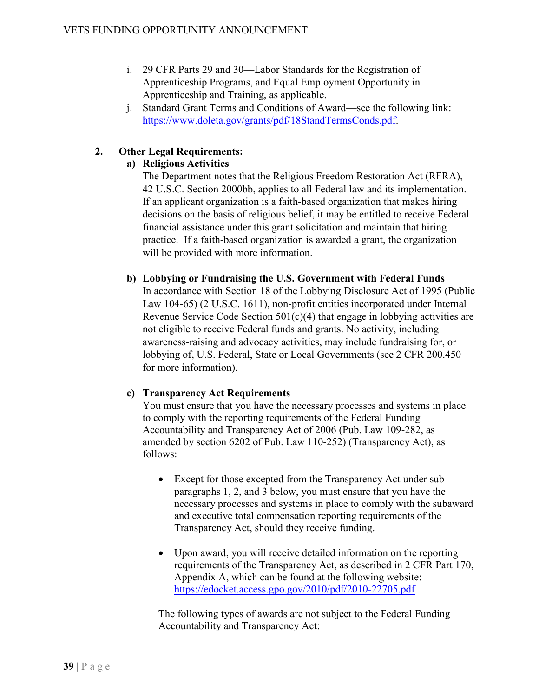- i. 29 CFR Parts 29 and 30—Labor Standards for the Registration of Apprenticeship Programs, and Equal Employment Opportunity in Apprenticeship and Training, as applicable.
- j. Standard Grant Terms and Conditions of Award—see the following link: https://www.doleta.gov/grants/pdf/18StandTermsConds.pdf.

# **2. Other Legal Requirements:**

# **a) Religious Activities**

The Department notes that the Religious Freedom Restoration Act (RFRA), 42 U.S.C. Section 2000bb, applies to all Federal law and its implementation. If an applicant organization is a faith-based organization that makes hiring decisions on the basis of religious belief, it may be entitled to receive Federal financial assistance under this grant solicitation and maintain that hiring practice. If a faith-based organization is awarded a grant, the organization will be provided with more information.

# **b) Lobbying or Fundraising the U.S. Government with Federal Funds**

In accordance with Section 18 of the Lobbying Disclosure Act of 1995 (Public Law 104-65) (2 U.S.C. 1611), non-profit entities incorporated under Internal Revenue Service Code Section 501(c)(4) that engage in lobbying activities are not eligible to receive Federal funds and grants. No activity, including awareness-raising and advocacy activities, may include fundraising for, or lobbying of, U.S. Federal, State or Local Governments (see 2 CFR 200.450 for more information).

# **c) Transparency Act Requirements**

You must ensure that you have the necessary processes and systems in place to comply with the reporting requirements of the Federal Funding Accountability and Transparency Act of 2006 (Pub. Law 109-282, as amended by section 6202 of Pub. Law 110-252) (Transparency Act), as follows:

- Except for those excepted from the Transparency Act under subparagraphs 1, 2, and 3 below, you must ensure that you have the necessary processes and systems in place to comply with the subaward and executive total compensation reporting requirements of the Transparency Act, should they receive funding.
- Upon award, you will receive detailed information on the reporting requirements of the Transparency Act, as described in 2 CFR Part 170, Appendix A, which can be found at the following website: [https://edocket.access.gpo.gov/2010/pdf/2010-22705.pdf](http://edocket.access.gpo.gov/2010/pdf/2010-22705.pdf)

The following types of awards are not subject to the Federal Funding Accountability and Transparency Act: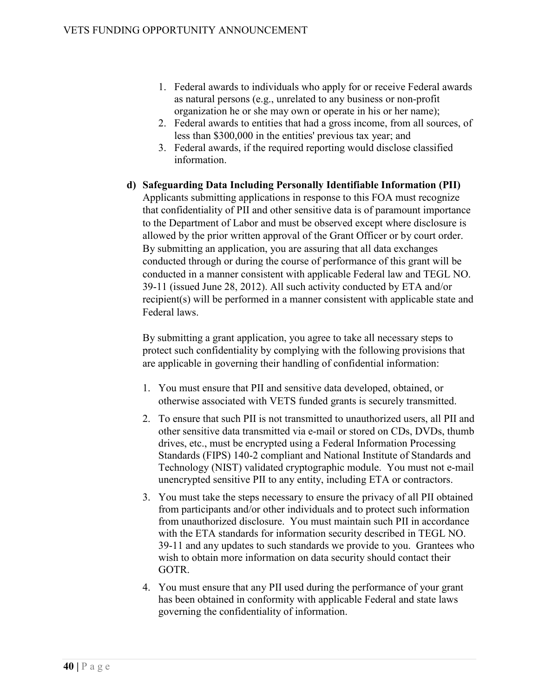- 1. Federal awards to individuals who apply for or receive Federal awards as natural persons (e.g., unrelated to any business or non-profit organization he or she may own or operate in his or her name);
- 2. Federal awards to entities that had a gross income, from all sources, of less than \$300,000 in the entities' previous tax year; and
- 3. Federal awards, if the required reporting would disclose classified information.
- **d) Safeguarding Data Including Personally Identifiable Information (PII)** Applicants submitting applications in response to this FOA must recognize that confidentiality of PII and other sensitive data is of paramount importance to the Department of Labor and must be observed except where disclosure is allowed by the prior written approval of the Grant Officer or by court order. By submitting an application, you are assuring that all data exchanges conducted through or during the course of performance of this grant will be conducted in a manner consistent with applicable Federal law and TEGL NO. 39-11 (issued June 28, 2012). All such activity conducted by ETA and/or recipient(s) will be performed in a manner consistent with applicable state and Federal laws.

By submitting a grant application, you agree to take all necessary steps to protect such confidentiality by complying with the following provisions that are applicable in governing their handling of confidential information:

- 1. You must ensure that PII and sensitive data developed, obtained, or otherwise associated with VETS funded grants is securely transmitted.
- 2. To ensure that such PII is not transmitted to unauthorized users, all PII and other sensitive data transmitted via e-mail or stored on CDs, DVDs, thumb drives, etc., must be encrypted using a Federal Information Processing Standards (FIPS) 140-2 compliant and National Institute of Standards and Technology (NIST) validated cryptographic module. You must not e-mail unencrypted sensitive PII to any entity, including ETA or contractors.
- 3. You must take the steps necessary to ensure the privacy of all PII obtained from participants and/or other individuals and to protect such information from unauthorized disclosure. You must maintain such PII in accordance with the ETA standards for information security described in TEGL NO. 39-11 and any updates to such standards we provide to you. Grantees who wish to obtain more information on data security should contact their GOTR.
- 4. You must ensure that any PII used during the performance of your grant has been obtained in conformity with applicable Federal and state laws governing the confidentiality of information.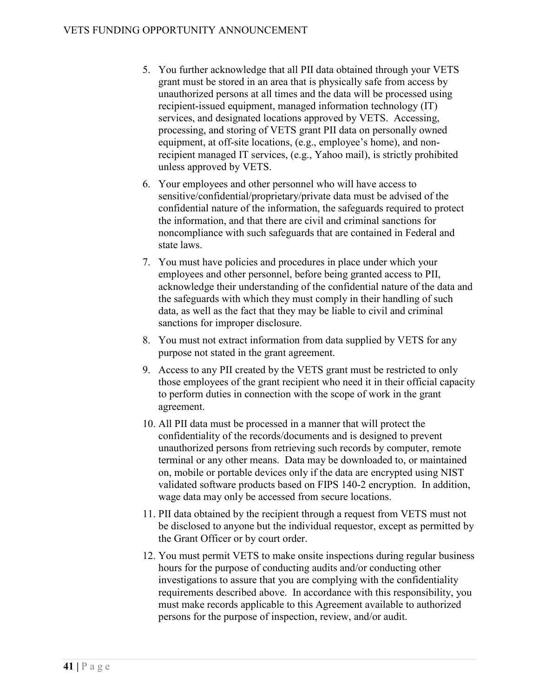- 5. You further acknowledge that all PII data obtained through your VETS grant must be stored in an area that is physically safe from access by unauthorized persons at all times and the data will be processed using recipient-issued equipment, managed information technology (IT) services, and designated locations approved by VETS. Accessing, processing, and storing of VETS grant PII data on personally owned equipment, at off-site locations, (e.g., employee's home), and nonrecipient managed IT services, (e.g., Yahoo mail), is strictly prohibited unless approved by VETS.
- 6. Your employees and other personnel who will have access to sensitive/confidential/proprietary/private data must be advised of the confidential nature of the information, the safeguards required to protect the information, and that there are civil and criminal sanctions for noncompliance with such safeguards that are contained in Federal and state laws.
- 7. You must have policies and procedures in place under which your employees and other personnel, before being granted access to PII, acknowledge their understanding of the confidential nature of the data and the safeguards with which they must comply in their handling of such data, as well as the fact that they may be liable to civil and criminal sanctions for improper disclosure.
- 8. You must not extract information from data supplied by VETS for any purpose not stated in the grant agreement.
- 9. Access to any PII created by the VETS grant must be restricted to only those employees of the grant recipient who need it in their official capacity to perform duties in connection with the scope of work in the grant agreement.
- 10. All PII data must be processed in a manner that will protect the confidentiality of the records/documents and is designed to prevent unauthorized persons from retrieving such records by computer, remote terminal or any other means. Data may be downloaded to, or maintained on, mobile or portable devices only if the data are encrypted using NIST validated software products based on FIPS 140-2 encryption. In addition, wage data may only be accessed from secure locations.
- 11. PII data obtained by the recipient through a request from VETS must not be disclosed to anyone but the individual requestor, except as permitted by the Grant Officer or by court order.
- 12. You must permit VETS to make onsite inspections during regular business hours for the purpose of conducting audits and/or conducting other investigations to assure that you are complying with the confidentiality requirements described above. In accordance with this responsibility, you must make records applicable to this Agreement available to authorized persons for the purpose of inspection, review, and/or audit.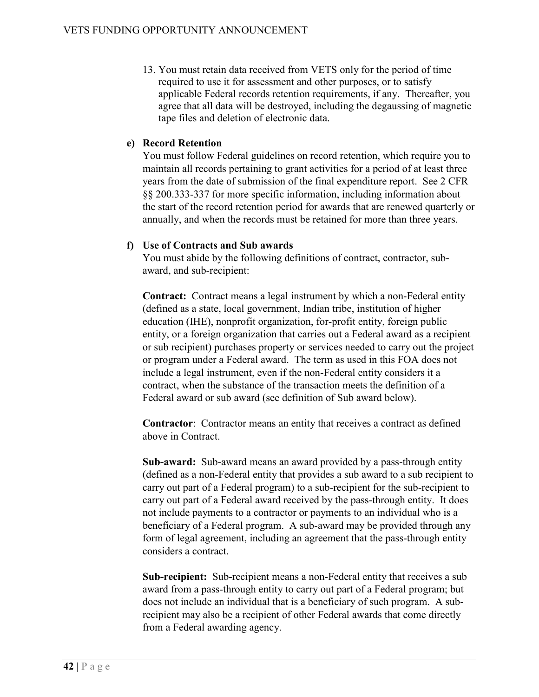13. You must retain data received from VETS only for the period of time required to use it for assessment and other purposes, or to satisfy applicable Federal records retention requirements, if any. Thereafter, you agree that all data will be destroyed, including the degaussing of magnetic tape files and deletion of electronic data.

## **e) Record Retention**

You must follow Federal guidelines on record retention, which require you to maintain all records pertaining to grant activities for a period of at least three years from the date of submission of the final expenditure report. See 2 CFR §§ 200.333-337 for more specific information, including information about the start of the record retention period for awards that are renewed quarterly or annually, and when the records must be retained for more than three years.

#### **f) Use of Contracts and Sub awards**

You must abide by the following definitions of contract, contractor, subaward, and sub-recipient:

**Contract:** Contract means a legal instrument by which a non-Federal entity (defined as a state, local government, Indian tribe, institution of higher education (IHE), nonprofit organization, for-profit entity, foreign public entity, or a foreign organization that carries out a Federal award as a recipient or sub recipient) purchases property or services needed to carry out the project or program under a Federal award. The term as used in this FOA does not include a legal instrument, even if the non-Federal entity considers it a contract, when the substance of the transaction meets the definition of a Federal award or sub award (see definition of Sub award below).

**Contractor**: Contractor means an entity that receives a contract as defined above in Contract.

**Sub-award:** Sub-award means an award provided by a pass-through entity (defined as a non-Federal entity that provides a sub award to a sub recipient to carry out part of a Federal program) to a sub-recipient for the sub-recipient to carry out part of a Federal award received by the pass-through entity. It does not include payments to a contractor or payments to an individual who is a beneficiary of a Federal program. A sub-award may be provided through any form of legal agreement, including an agreement that the pass-through entity considers a contract.

**Sub-recipient:** Sub-recipient means a non-Federal entity that receives a sub award from a pass-through entity to carry out part of a Federal program; but does not include an individual that is a beneficiary of such program. A subrecipient may also be a recipient of other Federal awards that come directly from a Federal awarding agency.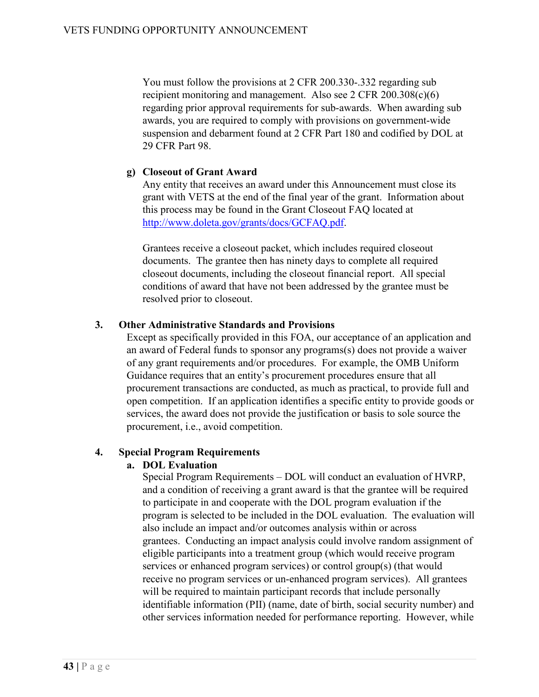You must follow the provisions at 2 CFR 200.330-.332 regarding sub recipient monitoring and management. Also see 2 CFR 200.308(c)(6) regarding prior approval requirements for sub-awards. When awarding sub awards, you are required to comply with provisions on government-wide suspension and debarment found at 2 CFR Part 180 and codified by DOL at 29 CFR Part 98.

#### **g) Closeout of Grant Award**

Any entity that receives an award under this Announcement must close its grant with VETS at the end of the final year of the grant. Information about this process may be found in the Grant Closeout FAQ located at [http://www.doleta.gov/grants/docs/GCFAQ.pdf.](http://www.doleta.gov/grants/docs/GCFAQ.pdf)

Grantees receive a closeout packet, which includes required closeout documents. The grantee then has ninety days to complete all required closeout documents, including the closeout financial report. All special conditions of award that have not been addressed by the grantee must be resolved prior to closeout.

#### **3. Other Administrative Standards and Provisions**

Except as specifically provided in this FOA, our acceptance of an application and an award of Federal funds to sponsor any programs(s) does not provide a waiver of any grant requirements and/or procedures. For example, the OMB Uniform Guidance requires that an entity's procurement procedures ensure that all procurement transactions are conducted, as much as practical, to provide full and open competition. If an application identifies a specific entity to provide goods or services, the award does not provide the justification or basis to sole source the procurement, i.e., avoid competition.

#### **4. Special Program Requirements**

# **a. DOL Evaluation**

Special Program Requirements – DOL will conduct an evaluation of HVRP, and a condition of receiving a grant award is that the grantee will be required to participate in and cooperate with the DOL program evaluation if the program is selected to be included in the DOL evaluation. The evaluation will also include an impact and/or outcomes analysis within or across grantees. Conducting an impact analysis could involve random assignment of eligible participants into a treatment group (which would receive program services or enhanced program services) or control group(s) (that would receive no program services or un-enhanced program services). All grantees will be required to maintain participant records that include personally identifiable information (PII) (name, date of birth, social security number) and other services information needed for performance reporting. However, while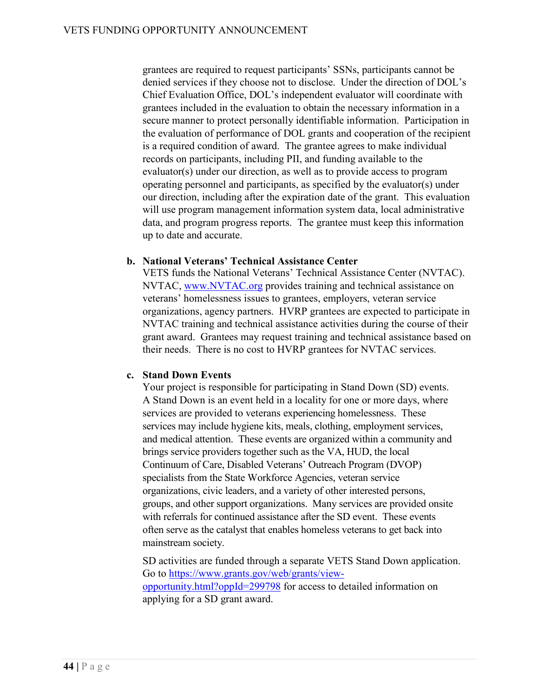grantees are required to request participants' SSNs, participants cannot be denied services if they choose not to disclose. Under the direction of DOL's Chief Evaluation Office, DOL's independent evaluator will coordinate with grantees included in the evaluation to obtain the necessary information in a secure manner to protect personally identifiable information. Participation in the evaluation of performance of DOL grants and cooperation of the recipient is a required condition of award. The grantee agrees to make individual records on participants, including PII, and funding available to the evaluator(s) under our direction, as well as to provide access to program operating personnel and participants, as specified by the evaluator(s) under our direction, including after the expiration date of the grant. This evaluation will use program management information system data, local administrative data, and program progress reports. The grantee must keep this information up to date and accurate.

#### **b. National Veterans' Technical Assistance Center**

VETS funds the National Veterans' Technical Assistance Center (NVTAC). NVTAC, [www.NVTAC.org](http://www.nvtac.org/) provides training and technical assistance on veterans' homelessness issues to grantees, employers, veteran service organizations, agency partners. HVRP grantees are expected to participate in NVTAC training and technical assistance activities during the course of their grant award. Grantees may request training and technical assistance based on their needs. There is no cost to HVRP grantees for NVTAC services.

# **c. Stand Down Events**

Your project is responsible for participating in Stand Down (SD) events. A Stand Down is an event held in a locality for one or more days, where services are provided to veterans experiencing homelessness. These services may include hygiene kits, meals, clothing, employment services, and medical attention. These events are organized within a community and brings service providers together such as the VA, HUD, the local Continuum of Care, Disabled Veterans' Outreach Program (DVOP) specialists from the State Workforce Agencies, veteran service organizations, civic leaders, and a variety of other interested persons, groups, and other support organizations. Many services are provided onsite with referrals for continued assistance after the SD event. These events often serve as the catalyst that enables homeless veterans to get back into mainstream society.

SD activities are funded through a separate VETS Stand Down application. Go to [https://www.grants.gov/web/grants/view](https://www.grants.gov/web/grants/view-opportunity.html?oppId=299798)[opportunity.html?oppId=299798](https://www.grants.gov/web/grants/view-opportunity.html?oppId=299798) for access to detailed information on applying for a SD grant award.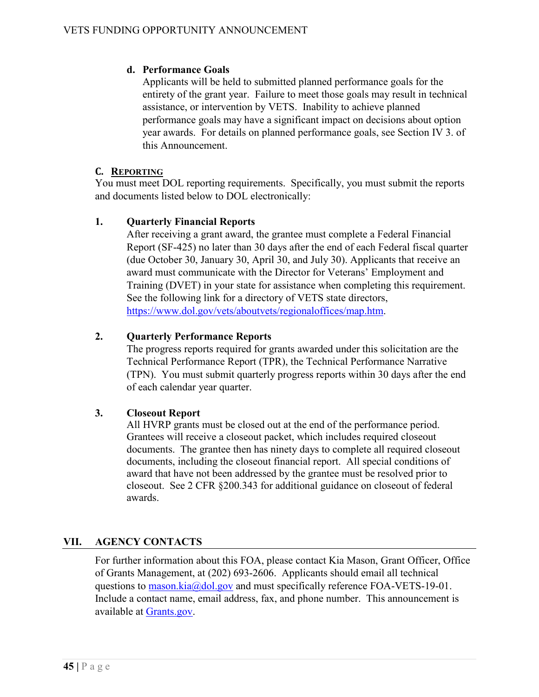# **d. Performance Goals**

Applicants will be held to submitted planned performance goals for the entirety of the grant year. Failure to meet those goals may result in technical assistance, or intervention by VETS. Inability to achieve planned performance goals may have a significant impact on decisions about option year awards. For details on planned performance goals, see Section IV 3. of this Announcement.

# **C. REPORTING**

You must meet DOL reporting requirements. Specifically, you must submit the reports and documents listed below to DOL electronically:

# **1. Quarterly Financial Reports**

After receiving a grant award, the grantee must complete a Federal Financial Report (SF-425) no later than 30 days after the end of each Federal fiscal quarter (due October 30, January 30, April 30, and July 30). Applicants that receive an award must communicate with the Director for Veterans' Employment and Training (DVET) in your state for assistance when completing this requirement. See the following link for a directory of VETS state directors, [https://www.dol.gov/vets/aboutvets/regionaloffices/map.htm.](https://www.dol.gov/vets/aboutvets/regionaloffices/map.htm)

# **2. Quarterly Performance Reports**

The progress reports required for grants awarded under this solicitation are the Technical Performance Report (TPR), the Technical Performance Narrative (TPN). You must submit quarterly progress reports within 30 days after the end of each calendar year quarter.

# **3. Closeout Report**

All HVRP grants must be closed out at the end of the performance period. Grantees will receive a closeout packet, which includes required closeout documents. The grantee then has ninety days to complete all required closeout documents, including the closeout financial report. All special conditions of award that have not been addressed by the grantee must be resolved prior to closeout. See [2 CFR §200.343](https://www.ecfr.gov/cgi-bin/retrieveECFR?gp=&SID=43938675f32de173b27ca9d5105943af&mc=true&n=pt2.1.200&r=PART&ty=HTML#se2.1.200_1343) for additional guidance on closeout of federal awards.

# **VII. AGENCY CONTACTS**

For further information about this FOA, please contact Kia Mason, Grant Officer, Office of Grants Management, at (202) 693-2606. Applicants should email all technical questions to  $\frac{masson.kia@dol.gov}{mod}$  and must specifically reference FOA-VETS-19-01. Include a contact name, email address, fax, and phone number. This announcement is available at [Grants.gov.](http://www.grants.gov/)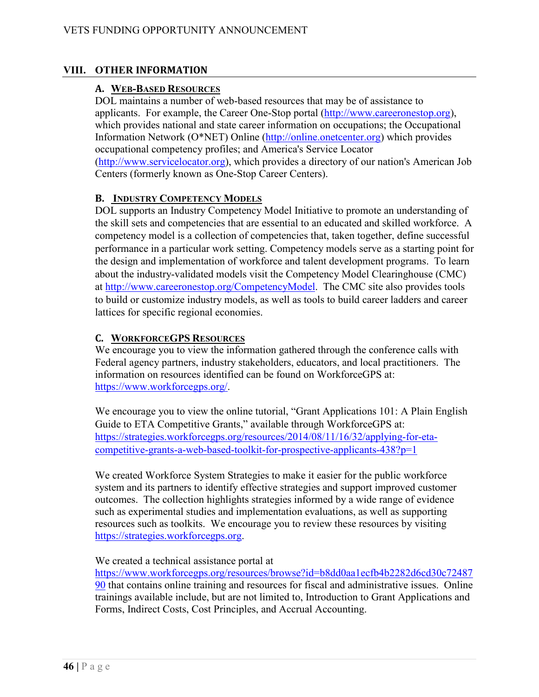## **VIII. OTHER INFORMATION**

#### **A. WEB-BASED RESOURCES**

DOL maintains a number of web-based resources that may be of assistance to applicants. For example, the Career One-Stop portal [\(http://www.careeronestop.org\)](http://www.careeronestop.org/), which provides national and state career information on occupations; the Occupational Information Network (O\*NET) Online [\(http://online.onetcenter.org\)](http://online.onetcenter.org/) which provides occupational competency profiles; and America's Service Locator [\(http://www.servicelocator.org\)](http://www.servicelocator.org/), which provides a directory of our nation's American Job Centers (formerly known as One-Stop Career Centers).

#### **B. INDUSTRY COMPETENCY MODELS**

DOL supports an Industry Competency Model Initiative to promote an understanding of the skill sets and competencies that are essential to an educated and skilled workforce. A competency model is a collection of competencies that, taken together, define successful performance in a particular work setting. Competency models serve as a starting point for the design and implementation of workforce and talent development programs. To learn about the industry-validated models visit the Competency Model Clearinghouse (CMC) at [http://www.careeronestop.org/CompetencyModel.](http://www.careeronestop.org/CompetencyModel) The CMC site also provides tools to build or customize industry models, as well as tools to build career ladders and career lattices for specific regional economies.

#### **C. WORKFORCEGPS RESOURCES**

We encourage you to view the information gathered through the conference calls with Federal agency partners, industry stakeholders, educators, and local practitioners. The information on resources identified can be found on WorkforceGPS at: [https://www.workforcegps.org/.](https://www.workforcegps.org/)

 We encourage you to view the online tutorial, "Grant Applications 101: A Plain English Guide to ETA Competitive Grants," available through WorkforceGPS at: [https://strategies.workforcegps.org/resources/2014/08/11/16/32/applying-for-eta](https://strategies.workforcegps.org/resources/2014/08/11/16/32/applying-for-eta-competitive-grants-a-web-based-toolkit-for-prospective-applicants-438?p=1)[competitive-grants-a-web-based-toolkit-for-prospective-applicants-438?p=1](https://strategies.workforcegps.org/resources/2014/08/11/16/32/applying-for-eta-competitive-grants-a-web-based-toolkit-for-prospective-applicants-438?p=1)

 We created Workforce System Strategies to make it easier for the public workforce system and its partners to identify effective strategies and support improved customer outcomes. The collection highlights strategies informed by a wide range of evidence such as experimental studies and implementation evaluations, as well as supporting resources such as toolkits. We encourage you to review these resources by visiting [https://strategies.workforcegps.org.](https://strategies.workforcegps.org/)

#### We created a technical assistance portal at

[https://www.workforcegps.org/resources/browse?id=b8dd0aa1ecfb4b2282d6cd30c72487](https://www.workforcegps.org/resources/browse?id=b8dd0aa1ecfb4b2282d6cd30c7248790) [90](https://www.workforcegps.org/resources/browse?id=b8dd0aa1ecfb4b2282d6cd30c7248790) that contains online training and resources for fiscal and administrative issues. Online trainings available include, but are not limited to, Introduction to Grant Applications and Forms, Indirect Costs, Cost Principles, and Accrual Accounting.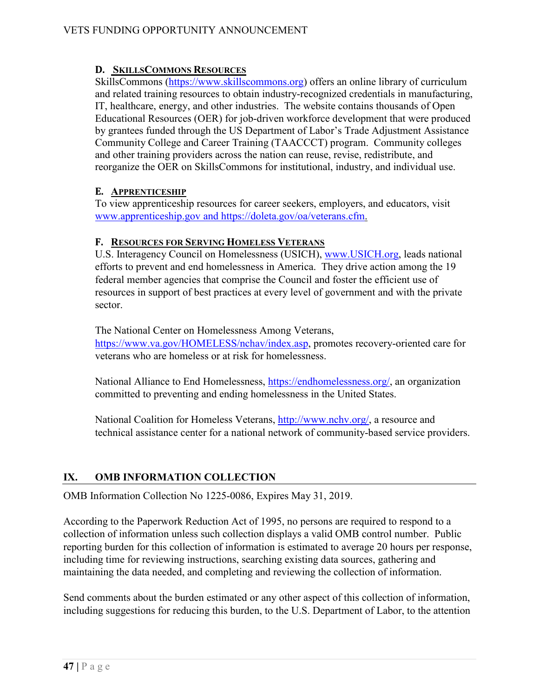# **D. SKILLSCOMMONS RESOURCES**

SkillsCommons [\(https://www.skillscommons.org\)](https://www.skillscommons.org/) offers an online library of curriculum and related training resources to obtain industry-recognized credentials in manufacturing, IT, healthcare, energy, and other industries. The website contains thousands of Open Educational Resources (OER) for job-driven workforce development that were produced by grantees funded through the US Department of Labor's Trade Adjustment Assistance Community College and Career Training (TAACCCT) program. Community colleges and other training providers across the nation can reuse, revise, redistribute, and reorganize the OER on SkillsCommons for institutional, industry, and individual use.

# **E. APPRENTICESHIP**

To view apprenticeship resources for career seekers, employers, and educators, visit [www.apprenticeship.gov](http://www.apprenticeship.gov/) and [https://doleta.gov/oa/veterans.cfm.](https://doleta.gov/oa/veterans.cfm)

# **F. RESOURCES FOR SERVING HOMELESS VETERANS**

U.S. Interagency Council on Homelessness (USICH), [www.USICH.org,](http://www.usich.org/) leads national efforts to prevent and end homelessness in America. They drive action among the 19 federal member agencies that comprise the Council and foster the efficient use of resources in support of best practices at every level of government and with the private sector.

The National Center on Homelessness Among Veterans,

[https://www.va.gov/HOMELESS/nchav/index.asp,](https://www.va.gov/HOMELESS/nchav/index.asp) promotes recovery-oriented care for veterans who are homeless or at risk for homelessness.

National Alliance to End Homelessness, [https://endhomelessness.org/,](https://endhomelessness.org/) an organization committed to preventing and ending homelessness in the United States.

National Coalition for Homeless Veterans, [http://www.nchv.org/,](http://www.nchv.org/) a resource and technical assistance center for a national network of community-based service providers.

# **IX. OMB INFORMATION COLLECTION**

OMB Information Collection No 1225-0086, Expires May 31, 2019.

According to the Paperwork Reduction Act of 1995, no persons are required to respond to a collection of information unless such collection displays a valid OMB control number. Public reporting burden for this collection of information is estimated to average 20 hours per response, including time for reviewing instructions, searching existing data sources, gathering and maintaining the data needed, and completing and reviewing the collection of information.

Send comments about the burden estimated or any other aspect of this collection of information, including suggestions for reducing this burden, to the U.S. Department of Labor, to the attention